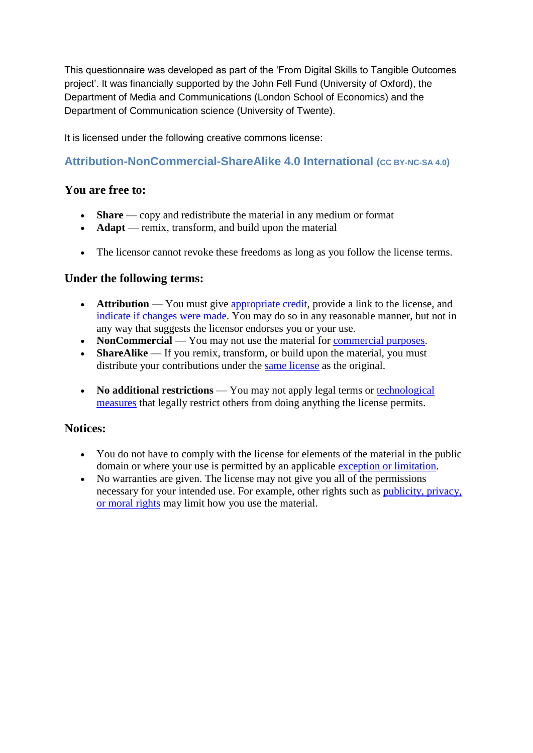This questionnaire was developed as part of the 'From Digital Skills to Tangible Outcomes project'. It was financially supported by the John Fell Fund (University of Oxford), the Department of Media and Communications (London School of Economics) and the Department of Communication science (University of Twente).

It is licensed under the following creative commons license:

## **Attribution-NonCommercial-ShareAlike 4.0 International (CC BY-NC-SA 4.0)**

### **You are free to:**

- **Share** copy and redistribute the material in any medium or format
- **Adapt** remix, transform, and build upon the material
- The licensor cannot revoke these freedoms as long as you follow the license terms.

### **Under the following terms:**

- **Attribution** You must give [appropriate credit,](http://creativecommons.org/licenses/by-nc-sa/4.0/) provide a link to the license, and [indicate if changes were made.](http://creativecommons.org/licenses/by-nc-sa/4.0/) You may do so in any reasonable manner, but not in any way that suggests the licensor endorses you or your use.
- NonCommercial You may not use the material for [commercial purposes.](http://creativecommons.org/licenses/by-nc-sa/4.0/)
- **ShareAlike** If you remix, transform, or build upon the material, you must distribute your contributions under the [same license](http://creativecommons.org/licenses/by-nc-sa/4.0/) as the original.
- No additional restrictions You may not apply legal terms or technological [measures](http://creativecommons.org/licenses/by-nc-sa/4.0/) that legally restrict others from doing anything the license permits.

### **Notices:**

- You do not have to comply with the license for elements of the material in the public domain or where your use is permitted by an applicable [exception or limitation.](http://creativecommons.org/licenses/by-nc-sa/4.0/)
- No warranties are given. The license may not give you all of the permissions necessary for your intended use. For example, other rights such as [publicity, privacy,](http://creativecommons.org/licenses/by-nc-sa/4.0/)  [or moral rights](http://creativecommons.org/licenses/by-nc-sa/4.0/) may limit how you use the material.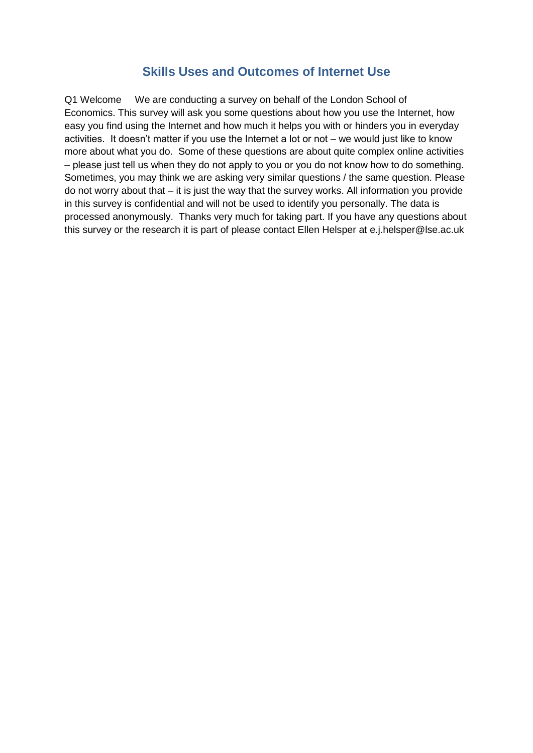# **Skills Uses and Outcomes of Internet Use**

Q1 Welcome We are conducting a survey on behalf of the London School of Economics. This survey will ask you some questions about how you use the Internet, how easy you find using the Internet and how much it helps you with or hinders you in everyday activities. It doesn't matter if you use the Internet a lot or not – we would just like to know more about what you do. Some of these questions are about quite complex online activities – please just tell us when they do not apply to you or you do not know how to do something. Sometimes, you may think we are asking very similar questions / the same question. Please do not worry about that – it is just the way that the survey works. All information you provide in this survey is confidential and will not be used to identify you personally. The data is processed anonymously. Thanks very much for taking part. If you have any questions about this survey or the research it is part of please contact Ellen Helsper at e.j.helsper@lse.ac.uk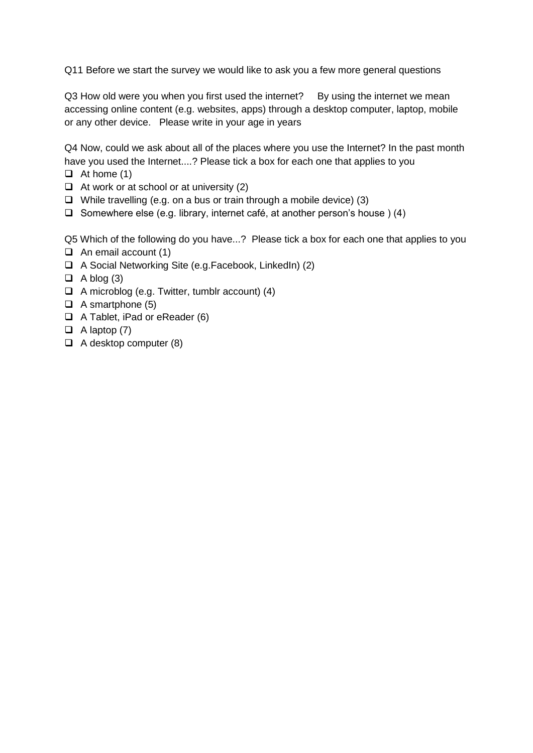Q11 Before we start the survey we would like to ask you a few more general questions

Q3 How old were you when you first used the internet? By using the internet we mean accessing online content (e.g. websites, apps) through a desktop computer, laptop, mobile or any other device. Please write in your age in years

Q4 Now, could we ask about all of the places where you use the Internet? In the past month have you used the Internet....? Please tick a box for each one that applies to you

- $\Box$  At home (1)
- $\Box$  At work or at school or at university (2)
- $\Box$  While travelling (e.g. on a bus or train through a mobile device) (3)
- $\square$  Somewhere else (e.g. library, internet café, at another person's house ) (4)

Q5 Which of the following do you have...? Please tick a box for each one that applies to you

- $\Box$  An email account (1)
- A Social Networking Site (e.g.Facebook, LinkedIn) (2)
- $\Box$  A blog (3)
- $\Box$  A microblog (e.g. Twitter, tumblr account) (4)
- $\Box$  A smartphone (5)
- $\Box$  A Tablet, iPad or eReader (6)
- $\Box$  A laptop (7)
- $\Box$  A desktop computer (8)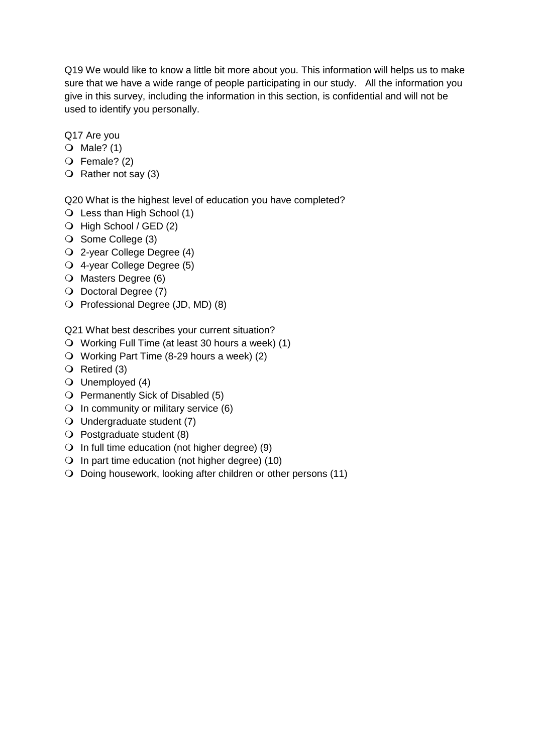Q19 We would like to know a little bit more about you. This information will helps us to make sure that we have a wide range of people participating in our study. All the information you give in this survey, including the information in this section, is confidential and will not be used to identify you personally.

Q17 Are you

- $\bigcirc$  Male? (1)
- Female? (2)
- $\bigcirc$  Rather not say (3)

Q20 What is the highest level of education you have completed?

- Less than High School (1)
- O High School / GED (2)
- O Some College (3)
- 2-year College Degree (4)
- 4-year College Degree (5)
- O Masters Degree (6)
- O Doctoral Degree (7)
- O Professional Degree (JD, MD) (8)

Q21 What best describes your current situation?

- Working Full Time (at least 30 hours a week) (1)
- Working Part Time (8-29 hours a week) (2)
- $\bigcirc$  Retired (3)
- $\bigcirc$  Unemployed (4)
- O Permanently Sick of Disabled (5)
- $\Omega$  In community or military service (6)
- $\bigcirc$  Undergraduate student (7)
- $\bigcirc$  Postgraduate student (8)
- $\bigcirc$  In full time education (not higher degree) (9)
- $\bigcirc$  In part time education (not higher degree) (10)
- O Doing housework, looking after children or other persons (11)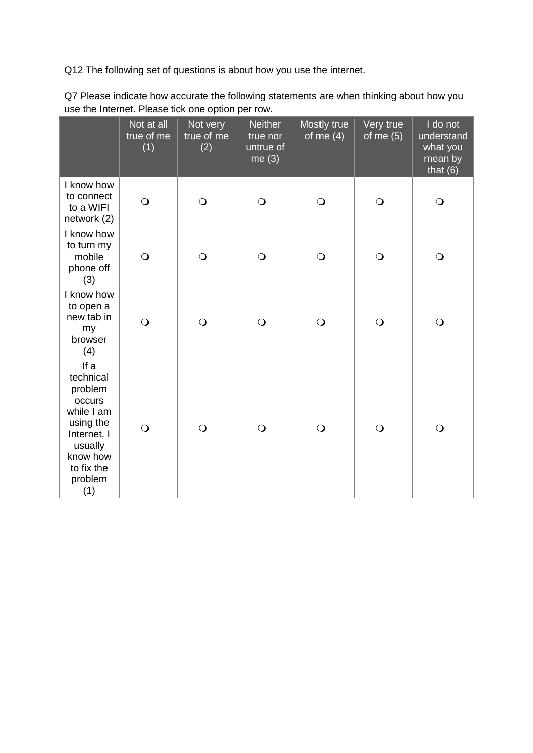Q12 The following set of questions is about how you use the internet.

Q7 Please indicate how accurate the following statements are when thinking about how you use the Internet. Please tick one option per row.

|                                                                                                                                         | Not at all<br>true of me<br>(1) | Not very<br>true of me<br>(2) | <b>Neither</b><br>true nor<br>untrue of<br>me $(3)$ | Mostly true<br>of me $(4)$ | Very true<br>of me $(5)$ | I do not<br>understand<br>what you<br>mean by<br>that $(6)$ |
|-----------------------------------------------------------------------------------------------------------------------------------------|---------------------------------|-------------------------------|-----------------------------------------------------|----------------------------|--------------------------|-------------------------------------------------------------|
| I know how<br>to connect<br>to a WIFI<br>network (2)                                                                                    | $\bigcirc$                      | $\bigcirc$                    | $\bigcirc$                                          | $\bigcirc$                 | $\bigcirc$               | $\bigcirc$                                                  |
| I know how<br>to turn my<br>mobile<br>phone off<br>(3)                                                                                  | $\bigcirc$                      | $\bigcirc$                    | $\bigcirc$                                          | $\bigcirc$                 | $\bigcirc$               | $\bigcirc$                                                  |
| I know how<br>to open a<br>new tab in<br>my<br>browser<br>(4)                                                                           | $\bigcirc$                      | $\bigcirc$                    | $\bigcirc$                                          | $\bigcirc$                 | $\bigcirc$               | $\bigcirc$                                                  |
| If a<br>technical<br>problem<br>occurs<br>while I am<br>using the<br>Internet, I<br>usually<br>know how<br>to fix the<br>problem<br>(1) | $\bigcirc$                      | $\bigcirc$                    | $\bigcirc$                                          | $\bigcirc$                 | $\bigcirc$               | $\bigcirc$                                                  |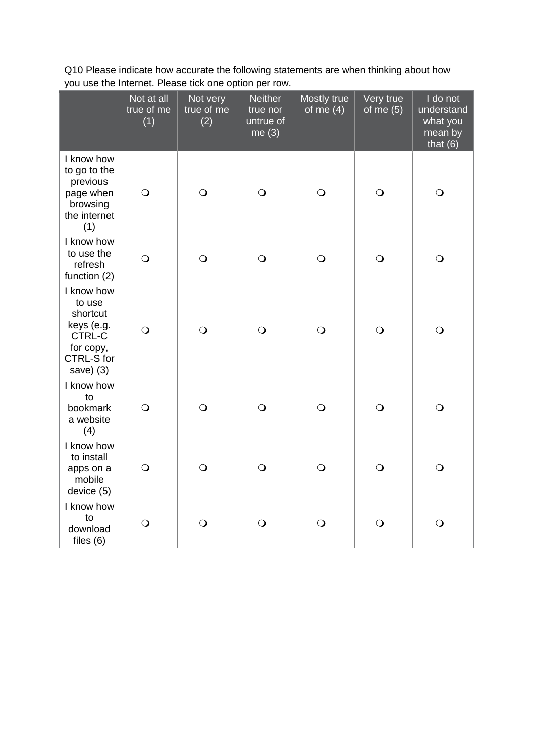Q10 Please indicate how accurate the following statements are when thinking about how you use the Internet. Please tick one option per row.

|                                                                                                   | Not at all<br>true of me<br>(1) | Not very<br>true of me<br>(2) | <b>Neither</b><br>true nor<br>untrue of<br>me $(3)$ | Mostly true<br>of me $(4)$ | Very true<br>of me $(5)$ | I do not<br>understand<br>what you<br>mean by<br>that $(6)$ |
|---------------------------------------------------------------------------------------------------|---------------------------------|-------------------------------|-----------------------------------------------------|----------------------------|--------------------------|-------------------------------------------------------------|
| I know how<br>to go to the<br>previous<br>page when<br>browsing<br>the internet<br>(1)            | $\bigcirc$                      | $\bigcirc$                    | $\bigcirc$                                          | $\bigcirc$                 | $\circ$                  | $\bigcirc$                                                  |
| I know how<br>to use the<br>refresh<br>function (2)                                               | $\bigcirc$                      | $\bigcirc$                    | $\bigcirc$                                          | $\bigcirc$                 | $\bigcirc$               | $\bigcirc$                                                  |
| I know how<br>to use<br>shortcut<br>keys (e.g.<br>CTRL-C<br>for copy,<br>CTRL-S for<br>save $(3)$ | $\bigcirc$                      | $\bigcirc$                    | $\bigcirc$                                          | $\bigcirc$                 | $\bigcirc$               | $\bigcirc$                                                  |
| I know how<br>to<br>bookmark<br>a website<br>(4)                                                  | $\bigcirc$                      | $\bigcirc$                    | $\bigcirc$                                          | $\overline{O}$             | $\bigcirc$               | $\overline{O}$                                              |
| I know how<br>to install<br>apps on a<br>mobile<br>device (5)                                     | $\bigcirc$                      | $\bigcirc$                    | $\bigcirc$                                          | $\bigcirc$                 | $\bigcirc$               | $\bigcirc$                                                  |
| I know how<br>to<br>download<br>files $(6)$                                                       | $\bigcirc$                      | $\bigcirc$                    | $\Omega$                                            | $\bigcirc$                 | $\Omega$                 | $\bigcirc$                                                  |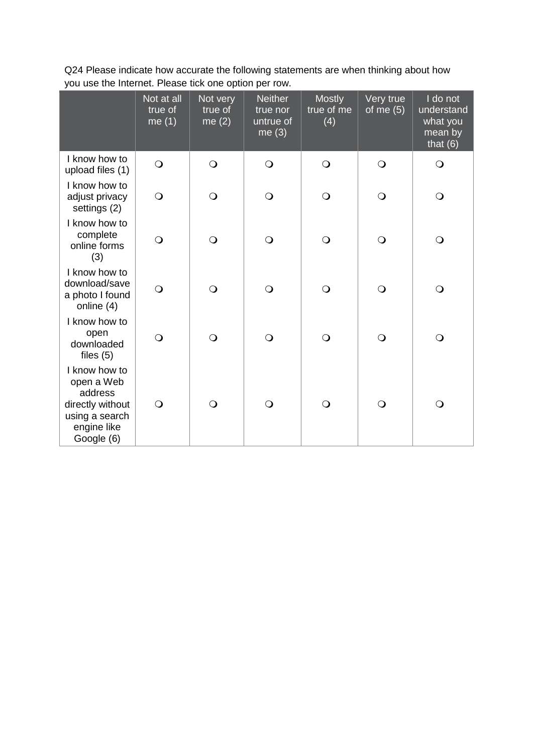Q24 Please indicate how accurate the following statements are when thinking about how you use the Internet. Please tick one option per row.

|                                                                                                           | Not at all<br>true of<br>me $(1)$ | Not very<br>true of<br>me $(2)$ | <b>Neither</b><br>true nor<br>untrue of<br>me $(3)$ | <b>Mostly</b><br>true of me<br>(4) | Very true<br>of me $(5)$ | I do not<br>understand<br>what you<br>mean by<br>that $(6)$ |
|-----------------------------------------------------------------------------------------------------------|-----------------------------------|---------------------------------|-----------------------------------------------------|------------------------------------|--------------------------|-------------------------------------------------------------|
| I know how to<br>upload files (1)                                                                         | $\bigcirc$                        | $\bigcirc$                      | $\bigcirc$                                          | $\bigcirc$                         | $\bigcirc$               | $\bigcirc$                                                  |
| I know how to<br>adjust privacy<br>settings (2)                                                           | $\bigcirc$                        | $\bigcirc$                      | $\bigcirc$                                          | $\bigcirc$                         | $\bigcirc$               | $\bigcirc$                                                  |
| I know how to<br>complete<br>online forms<br>(3)                                                          | $\mathsf{O}$                      | $\Omega$                        | $\mathsf{O}$                                        | $\mathsf{O}$                       | $\bigcirc$               | $\bigcirc$                                                  |
| I know how to<br>download/save<br>a photo I found<br>online (4)                                           | $\bigcirc$                        | ∩                               | $\overline{O}$                                      | $\bigcirc$                         | $\bigcirc$               | $\overline{O}$                                              |
| I know how to<br>open<br>downloaded<br>files $(5)$                                                        | $\bigcirc$                        | $\bigcirc$                      | $\bigcirc$                                          | $\bigcirc$                         | $\bigcirc$               | $\overline{O}$                                              |
| I know how to<br>open a Web<br>address<br>directly without<br>using a search<br>engine like<br>Google (6) | $\bigcirc$                        | $\Omega$                        | $\Omega$                                            | $\bigcirc$                         | $\bigcirc$               | $\bigcirc$                                                  |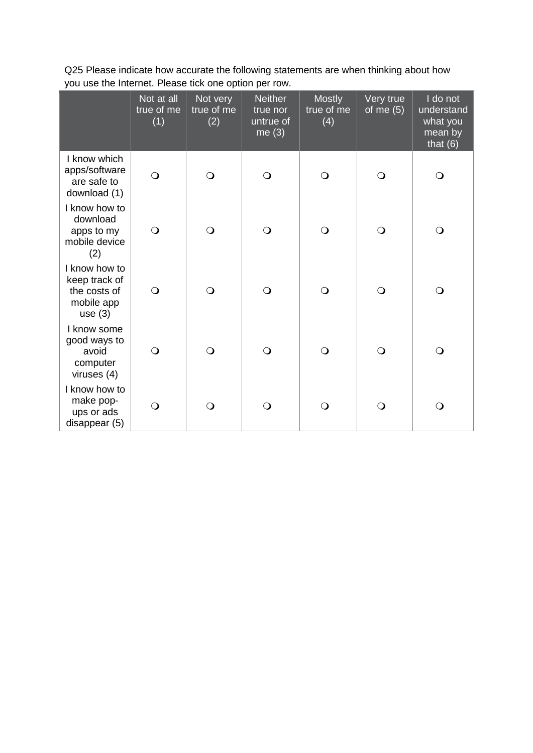Q25 Please indicate how accurate the following statements are when thinking about how you use the Internet. Please tick one option per row.

|                                                                           | Not at all<br>true of me<br>(1) | Not very<br>true of me<br>(2) | <b>Neither</b><br>true nor<br>untrue of<br>me $(3)$ | <b>Mostly</b><br>true of me<br>(4) | Very true<br>of me $(5)$ | I do not<br>understand<br>what you<br>mean by<br>that $(6)$ |
|---------------------------------------------------------------------------|---------------------------------|-------------------------------|-----------------------------------------------------|------------------------------------|--------------------------|-------------------------------------------------------------|
| I know which<br>apps/software<br>are safe to<br>download (1)              | $\bigcirc$                      | $\Omega$                      | $\circ$                                             | $\bigcirc$                         | $\bigcirc$               | $\bigcirc$                                                  |
| I know how to<br>download<br>apps to my<br>mobile device<br>(2)           | $\Omega$                        | $\Omega$                      | $\bigcirc$                                          | $\circ$                            | $\bigcirc$               | $\bigcirc$                                                  |
| I know how to<br>keep track of<br>the costs of<br>mobile app<br>use $(3)$ | $\bigcirc$                      | $\overline{O}$                | $\bigcirc$                                          | $\bigcirc$                         | $\bigcirc$               | $\bigcirc$                                                  |
| I know some<br>good ways to<br>avoid<br>computer<br>viruses (4)           | $\Omega$                        | $\Omega$                      | $\bigcirc$                                          | $\bigcirc$                         | $\bigcirc$               | $\bigcirc$                                                  |
| I know how to<br>make pop-<br>ups or ads<br>disappear (5)                 | $\Omega$                        | ∩                             | $\Omega$                                            | $\Omega$                           | $\mathsf{O}$             | $\Omega$                                                    |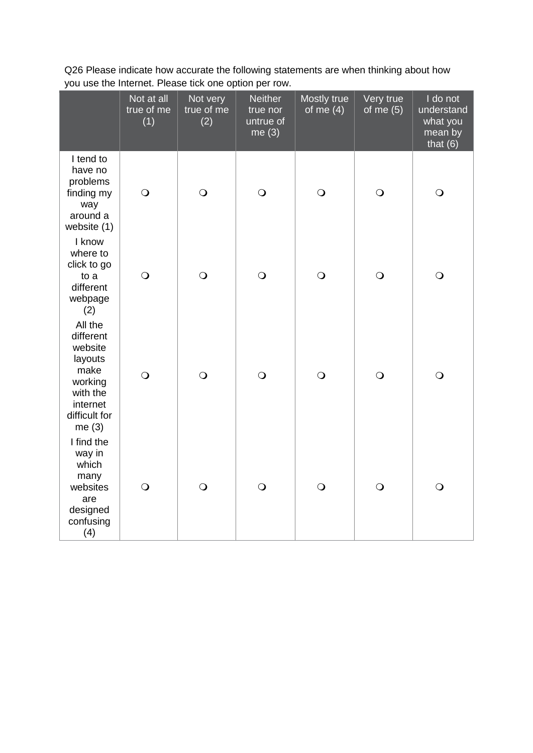Q26 Please indicate how accurate the following statements are when thinking about how you use the Internet. Please tick one option per row.

|                                                                                                                    | Not at all<br>true of me<br>(1) | Not very<br>true of me<br>(2) | <b>Neither</b><br>true nor<br>untrue of<br>me $(3)$ | Mostly true<br>of me $(4)$ | Very true<br>of me $(5)$ | I do not<br>understand<br>what you<br>mean by<br>that $(6)$ |
|--------------------------------------------------------------------------------------------------------------------|---------------------------------|-------------------------------|-----------------------------------------------------|----------------------------|--------------------------|-------------------------------------------------------------|
| I tend to<br>have no<br>problems<br>finding my<br>way<br>around a<br>website (1)                                   | $\bigcirc$                      | $\bigcirc$                    | $\bigcirc$                                          | $\bigcirc$                 | $\bigcirc$               | $\bigcirc$                                                  |
| I know<br>where to<br>click to go<br>to a<br>different<br>webpage<br>(2)                                           | $\bigcirc$                      | $\bigcirc$                    | $\bigcirc$                                          | $\bigcirc$                 | $\bigcirc$               | $\bigcirc$                                                  |
| All the<br>different<br>website<br>layouts<br>make<br>working<br>with the<br>internet<br>difficult for<br>me $(3)$ | $\bigcirc$                      | $\bigcirc$                    | $\bigcirc$                                          | $\bigcirc$                 | $\bigcirc$               | $\bigcirc$                                                  |
| I find the<br>way in<br>which<br>many<br>websites<br>are<br>designed<br>confusing<br>(4)                           | $\bigcirc$                      | $\bigcirc$                    | $\bigcirc$                                          | $\bigcirc$                 | $\bigcirc$               | $\bigcirc$                                                  |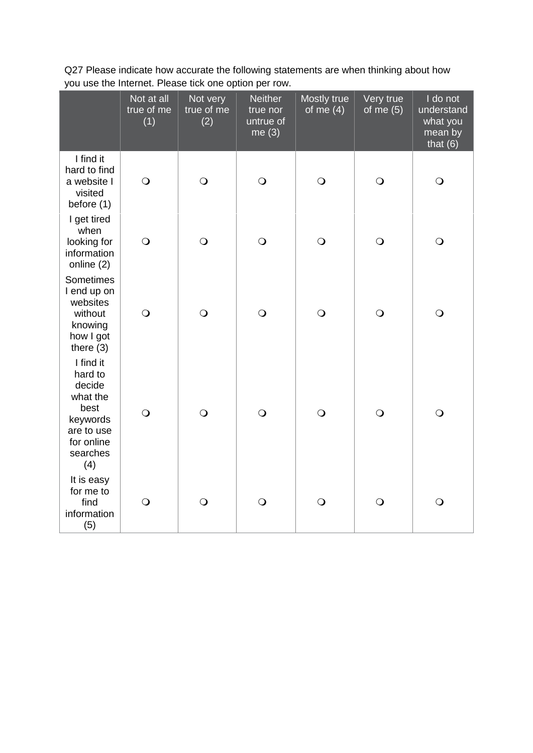| Q27 Please indicate how accurate the following statements are when thinking about how |  |
|---------------------------------------------------------------------------------------|--|
| you use the Internet. Please tick one option per row.                                 |  |

|                                                                                                               | Not at all<br>true of me<br>(1) | Not very<br>true of me<br>(2) | <b>Neither</b><br>true nor<br>untrue of<br>me $(3)$ | Mostly true<br>of me $(4)$ | Very true<br>of me $(5)$ | $\overline{I}$ do not<br>understand<br>what you<br>mean by<br>that $(6)$ |
|---------------------------------------------------------------------------------------------------------------|---------------------------------|-------------------------------|-----------------------------------------------------|----------------------------|--------------------------|--------------------------------------------------------------------------|
| I find it<br>hard to find<br>a website I<br>visited<br>before (1)                                             | $\bigcirc$                      | $\bigcirc$                    | $\bigcirc$                                          | $\bigcirc$                 | $\bigcirc$               | $\bigcirc$                                                               |
| I get tired<br>when<br>looking for<br>information<br>online (2)                                               | $\bigcirc$                      | $\bigcirc$                    | $\bigcirc$                                          | $\bigcirc$                 | $\bigcirc$               | $\bigcirc$                                                               |
| <b>Sometimes</b><br>I end up on<br>websites<br>without<br>knowing<br>how I got<br>there $(3)$                 | $\bigcirc$                      | $\bigcirc$                    | $\bigcirc$                                          | $\bigcirc$                 | $\bigcirc$               | $\bigcirc$                                                               |
| I find it<br>hard to<br>decide<br>what the<br>best<br>keywords<br>are to use<br>for online<br>searches<br>(4) | $\bigcirc$                      | $\bigcirc$                    | $\bigcirc$                                          | $\bigcirc$                 | $\bigcirc$               | $\bigcirc$                                                               |
| It is easy<br>for me to<br>find<br>information<br>(5)                                                         | $\bigcirc$                      | $\bigcirc$                    | $\bigcirc$                                          | $\bigcirc$                 | $\bigcirc$               | $\bigcirc$                                                               |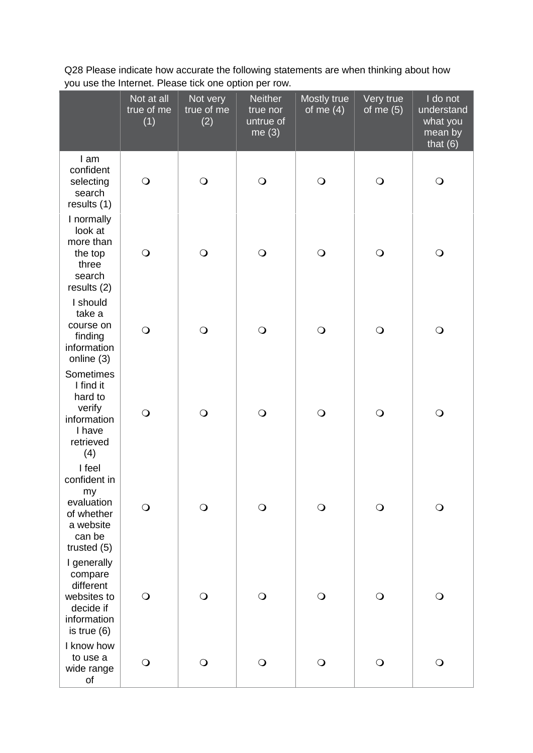Q28 Please indicate how accurate the following statements are when thinking about how you use the Internet. Please tick one option per row.

|                                                                                                 | Not at all<br>true of me<br>(1) | Not very<br>true of me<br>(2) | <b>Neither</b><br>true nor<br>untrue of<br>me $(3)$ | Mostly true<br>of me $(4)$ | Very true<br>of me $(5)$ | I do not<br>understand<br>what you<br>mean by<br>that $(6)$ |
|-------------------------------------------------------------------------------------------------|---------------------------------|-------------------------------|-----------------------------------------------------|----------------------------|--------------------------|-------------------------------------------------------------|
| I am<br>confident<br>selecting<br>search<br>results (1)                                         | $\bigcirc$                      | $\bigcirc$                    | $\bigcirc$                                          | $\bigcirc$                 | $\bigcirc$               | $\bigcirc$                                                  |
| I normally<br>look at<br>more than<br>the top<br>three<br>search<br>results $(2)$               | $\bigcirc$                      | $\bigcirc$                    | $\bigcirc$                                          | $\bigcirc$                 | $\bigcirc$               | $\bigcirc$                                                  |
| I should<br>take a<br>course on<br>finding<br>information<br>online (3)                         | $\bigcirc$                      | $\bigcirc$                    | $\bigcirc$                                          | $\bigcirc$                 | $\bigcirc$               | $\bigcirc$                                                  |
| Sometimes<br>I find it<br>hard to<br>verify<br>information<br>I have<br>retrieved<br>(4)        | $\bigcirc$                      | $\bigcirc$                    | $\bigcirc$                                          | $\bigcirc$                 | $\bigcirc$               | $\bigcirc$                                                  |
| I feel<br>confident in<br>my<br>evaluation<br>of whether<br>a website<br>can be<br>trusted (5)  | $\bigcirc$                      | $\bigcirc$                    | $\bigcirc$                                          | $\bigcirc$                 | $\mathsf{O}$             | $\bigcirc$                                                  |
| I generally<br>compare<br>different<br>websites to<br>decide if<br>information<br>is true $(6)$ | $\bigcirc$                      | $\bigcirc$                    | $\bigcirc$                                          | $\bigcirc$                 | $\bigcirc$               | $\bigcirc$                                                  |
| I know how<br>to use a<br>wide range<br>of                                                      | $\bigcirc$                      | $\bigcirc$                    | $\bigcirc$                                          | $\bigcirc$                 | $\bigcirc$               | $\bigcirc$                                                  |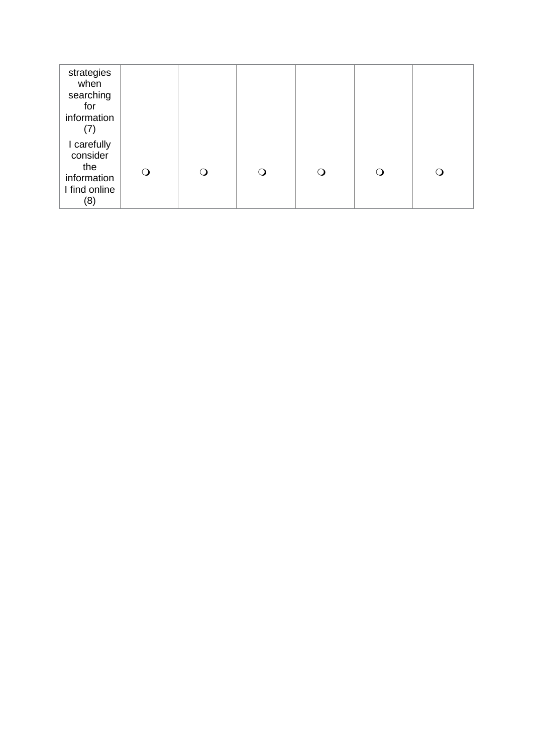| strategies<br>when<br>searching<br>for<br>information<br>(7)          |   |   |   |   |  |
|-----------------------------------------------------------------------|---|---|---|---|--|
| I carefully<br>consider<br>the<br>information<br>I find online<br>(8) | Q | O | Q | ∩ |  |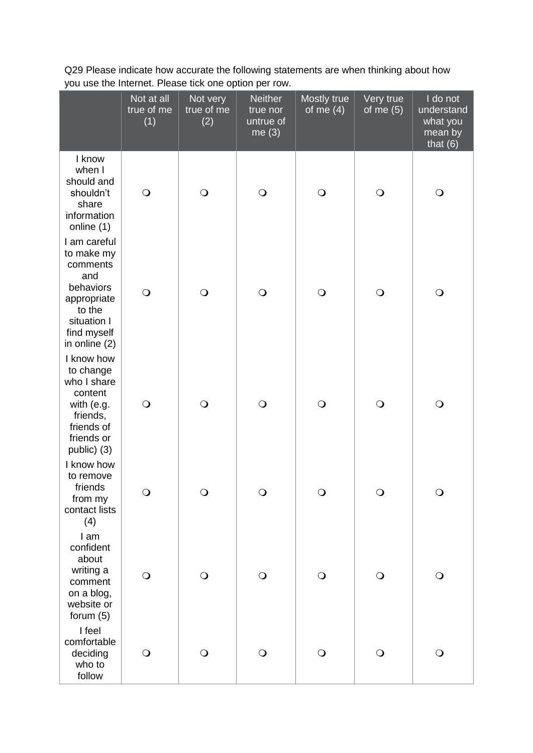Q29 Please indicate how accurate the following statements are when thinking about how you use the Internet. Please tick one option per row.

|                                                                                                                                    | Not at all<br>true of me<br>(1) | Not very<br>true of me<br>(2) | <b>Neither</b><br>true nor<br>untrue of<br>me $(3)$ | Mostly true<br>of me $(4)$ | Very true<br>of me $(5)$ | I do not<br>understand<br>what you<br>mean by<br>that $(6)$ |
|------------------------------------------------------------------------------------------------------------------------------------|---------------------------------|-------------------------------|-----------------------------------------------------|----------------------------|--------------------------|-------------------------------------------------------------|
| I know<br>when I<br>should and<br>shouldn't<br>share<br>information<br>online (1)                                                  | $\bigcirc$                      | $\bigcirc$                    | $\bigcirc$                                          | $\mathsf{O}$               | $\bigcirc$               | $\bigcirc$                                                  |
| I am careful<br>to make my<br>comments<br>and<br>behaviors<br>appropriate<br>to the<br>situation I<br>find myself<br>in online (2) | $\bigcirc$                      | $\bigcirc$                    | $\bigcirc$                                          | $\bigcirc$                 | $\bigcirc$               | $\bigcirc$                                                  |
| I know how<br>to change<br>who I share<br>content<br>with (e.g.<br>friends,<br>friends of<br>friends or<br>public) (3)             | $\bigcirc$                      | $\bigcirc$                    | $\bigcirc$                                          | $\bigcirc$                 | $\bigcirc$               | $\bigcirc$                                                  |
| I know how<br>to remove<br>friends<br>from my<br>contact lists<br>(4)                                                              | Ő                               | $\mathbf\Omega$               |                                                     | Ő                          |                          |                                                             |
| I am<br>confident<br>about<br>writing a<br>comment<br>on a blog,<br>website or<br>forum $(5)$                                      | $\bigcirc$                      | $\bigcirc$                    | $\bigcirc$                                          | $\bigcirc$                 | $\bigcirc$               | $\bigcirc$                                                  |
| I feel<br>comfortable<br>deciding<br>who to<br>follow                                                                              | $\mathsf{O}$                    | $\bigcirc$                    | $\Omega$                                            | $\bigcirc$                 | $\bigcirc$               | $\bigcirc$                                                  |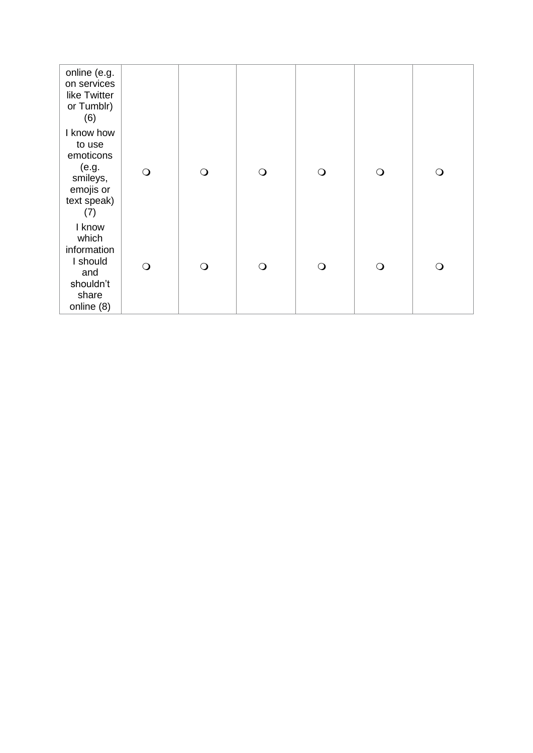| online (e.g.<br>on services<br>like Twitter<br>or Tumblr)<br>(6)                          |                |            |            |          |              |          |
|-------------------------------------------------------------------------------------------|----------------|------------|------------|----------|--------------|----------|
| I know how<br>to use<br>emoticons<br>(e.g.<br>smileys,<br>emojis or<br>text speak)<br>(7) | $\bigcirc$     | $\bigcirc$ | $\bigcirc$ | $\Omega$ | $\mathsf{O}$ | $\Omega$ |
| I know<br>which<br>information<br>I should<br>and<br>shouldn't<br>share<br>online (8)     | $\overline{O}$ | $\bigcirc$ | $\bigcirc$ | $\Omega$ | $\bigcirc$   | $\Omega$ |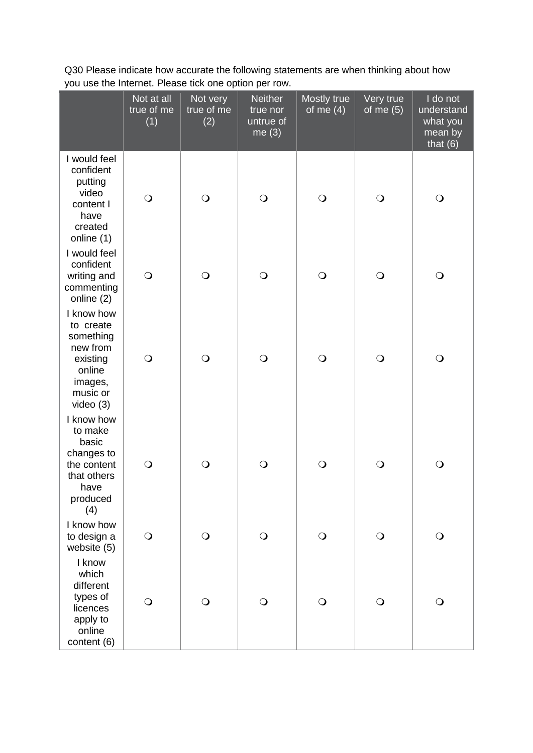|                                                                                                              | Not at all<br>true of me<br>(1) | Not very<br>true of me<br>(2) | <b>Neither</b><br>true nor<br>untrue of<br>me $(3)$ | Mostly true<br>of me $(4)$ | Very true<br>of me $(5)$ | $1$ do not<br>understand<br>what you<br>mean by<br>that $(6)$ |
|--------------------------------------------------------------------------------------------------------------|---------------------------------|-------------------------------|-----------------------------------------------------|----------------------------|--------------------------|---------------------------------------------------------------|
| I would feel<br>confident<br>putting<br>video<br>content I<br>have<br>created<br>online (1)                  | $\bigcirc$                      | $\bigcirc$                    | $\bigcirc$                                          | $\bigcirc$                 | $\bigcirc$               | $\bigcirc$                                                    |
| I would feel<br>confident<br>writing and<br>commenting<br>online (2)                                         | $\bigcirc$                      | $\bigcirc$                    | $\bigcirc$                                          | $\bigcirc$                 | $\bigcirc$               | $\bigcirc$                                                    |
| I know how<br>to create<br>something<br>new from<br>existing<br>online<br>images,<br>music or<br>video $(3)$ | $\bigcirc$                      | $\bigcirc$                    | $\bigcirc$                                          | $\bigcirc$                 | $\bigcirc$               | $\bigcirc$                                                    |
| I know how<br>to make<br>basic<br>changes to<br>the content<br>that others<br>have<br>produced<br>(4)        | $\bigcirc$                      | $\overline{O}$                | $\Omega$                                            | $\bigcirc$                 | $\mathsf{O}$             | $\bigcirc$                                                    |
| I know how<br>to design a<br>website (5)                                                                     | $\bigcirc$                      | $\bigcirc$                    | $\bigcirc$                                          | $\bigcirc$                 | $\bigcirc$               | $\bigcirc$                                                    |
| I know<br>which<br>different<br>types of<br>licences<br>apply to<br>online<br>content (6)                    | $\bigcirc$                      | $\bigcirc$                    | $\bigcirc$                                          | $\bigcirc$                 | $\bigcirc$               | $\bigcirc$                                                    |

Q30 Please indicate how accurate the following statements are when thinking about how you use the Internet. Please tick one option per row.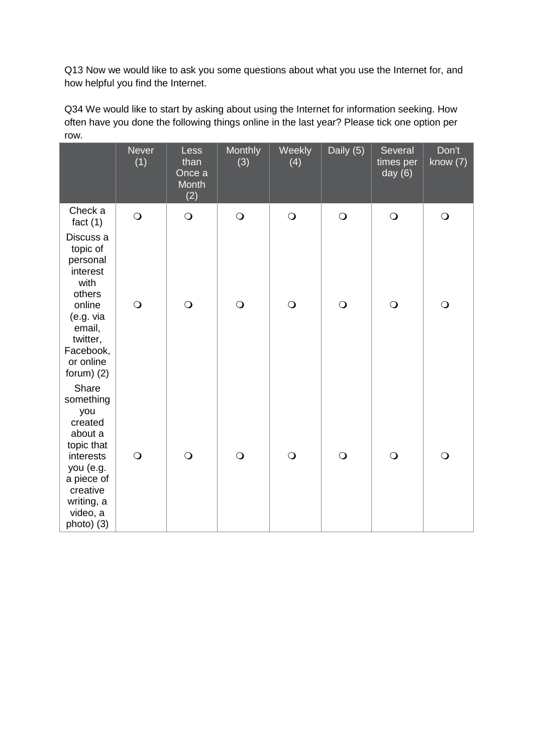Q13 Now we would like to ask you some questions about what you use the Internet for, and how helpful you find the Internet.

Q34 We would like to start by asking about using the Internet for information seeking. How often have you done the following things online in the last year? Please tick one option per row.

|                                                                                                                                                           | <b>Never</b><br>(1) | Less<br>than<br>Once a<br>Month<br>(2) | <b>Monthly</b><br>(3) | Weekly<br>(4) | Daily (5)  | Several<br>times per<br>day $(6)$ | Don't<br>know $(7)$ |
|-----------------------------------------------------------------------------------------------------------------------------------------------------------|---------------------|----------------------------------------|-----------------------|---------------|------------|-----------------------------------|---------------------|
| Check a<br>fact $(1)$                                                                                                                                     | $\bigcirc$          | $\bigcirc$                             | $\bigcirc$            | $\bigcirc$    | $\bigcirc$ | $\bigcirc$                        | $\bigcirc$          |
| Discuss a<br>topic of<br>personal<br>interest<br>with<br>others<br>online<br>(e.g. via<br>email,<br>twitter,<br>Facebook,<br>or online<br>forum $(2)$     | $\bigcirc$          | $\bigcirc$                             | $\bigcirc$            | $\bigcirc$    | $\bigcirc$ | $\bigcirc$                        | $\bigcirc$          |
| Share<br>something<br>you<br>created<br>about a<br>topic that<br>interests<br>you (e.g.<br>a piece of<br>creative<br>writing, a<br>video, a<br>photo) (3) | $\bigcirc$          | $\bigcirc$                             | $\bigcirc$            | $\bigcirc$    | $\bigcirc$ | $\bigcirc$                        | $\bigcirc$          |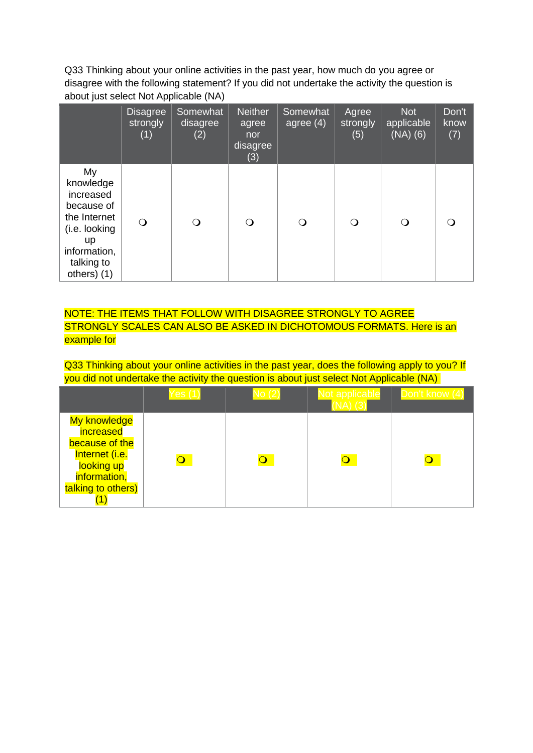Q33 Thinking about your online activities in the past year, how much do you agree or disagree with the following statement? If you did not undertake the activity the question is about just select Not Applicable (NA)

|                                                                                                                                       | <b>Disagree</b><br>strongly<br>(1) | Somewhat<br>disagree<br>(2) | <b>Neither</b><br>agree<br>nor<br>disagree<br>(3) | Somewhat<br>$\overline{\mathsf{aggregate}\ (4)}'$ | Agree<br>strongly<br>(5) | <b>Not</b><br>applicable<br>(NA)(6) | Don't<br>know<br>(7) |
|---------------------------------------------------------------------------------------------------------------------------------------|------------------------------------|-----------------------------|---------------------------------------------------|---------------------------------------------------|--------------------------|-------------------------------------|----------------------|
| My<br>knowledge<br>increased<br>because of<br>the Internet<br>(i.e. looking<br><b>up</b><br>information,<br>talking to<br>others) (1) | $\Omega$                           | Q                           | O                                                 | Q                                                 | ∩                        | O                                   |                      |

#### NOTE: THE ITEMS THAT FOLLOW WITH DISAGREE STRONGLY TO AGREE STRONGLY SCALES CAN ALSO BE ASKED IN DICHOTOMOUS FORMATS. Here is an example for

Q33 Thinking about your online activities in the past year, does the following apply to you? If you did not undertake the activity the question is about just select Not Applicable (NA)

|                                                                                                                   | Yes (1 | No (2) | Not applicable | Don't know (4) |
|-------------------------------------------------------------------------------------------------------------------|--------|--------|----------------|----------------|
| My knowledge<br>increased<br>because of the<br>Internet (i.e.<br>looking up<br>information,<br>talking to others) |        |        |                |                |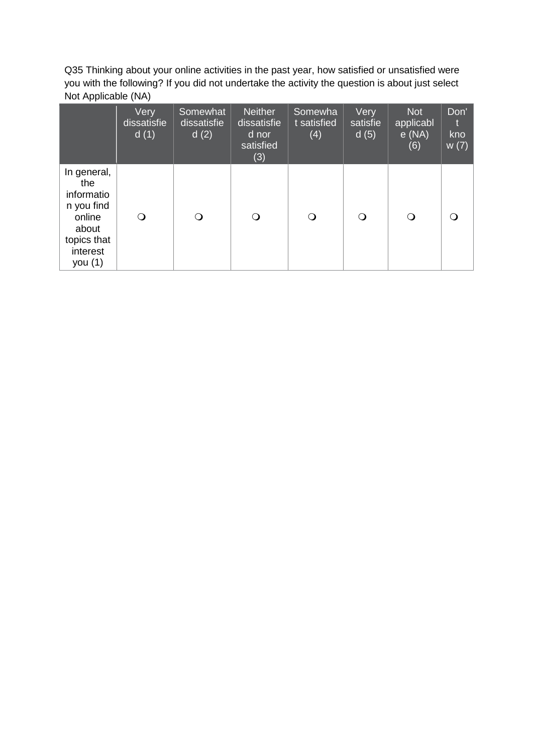Q35 Thinking about your online activities in the past year, how satisfied or unsatisfied were you with the following? If you did not undertake the activity the question is about just select Not Applicable (NA)

|                                                                                                         | Very<br>dissatisfie<br>d(1) | Somewhat<br>dissatisfie<br>d(2) | <b>Neither</b><br>dissatisfie<br>d nor<br>satisfied<br>(3) | Somewha<br>t satisfied<br>(4) | Very<br>satisfie<br>d(5) | <b>Not</b><br>applicabl<br>e(NA)<br>(6) | Don'<br>$\mathbf t$<br>kno<br>w(7) |
|---------------------------------------------------------------------------------------------------------|-----------------------------|---------------------------------|------------------------------------------------------------|-------------------------------|--------------------------|-----------------------------------------|------------------------------------|
| In general,<br>the<br>informatio<br>n you find<br>online<br>about<br>topics that<br>interest<br>you (1) | O                           | ∩                               | $\Omega$                                                   | $\mathsf{O}$                  | $\Omega$                 | $\Omega$                                |                                    |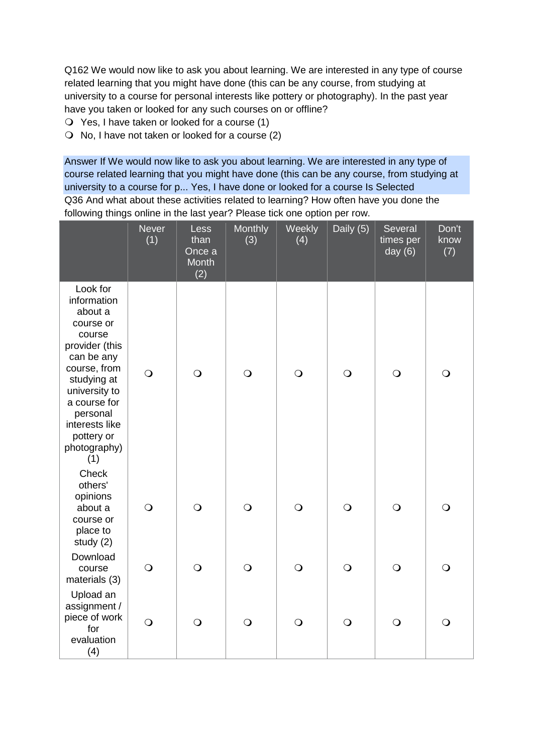Q162 We would now like to ask you about learning. We are interested in any type of course related learning that you might have done (this can be any course, from studying at university to a course for personal interests like pottery or photography). In the past year have you taken or looked for any such courses on or offline?

- Yes, I have taken or looked for a course (1)
- $\bigcirc$  No, I have not taken or looked for a course (2)

Answer If We would now like to ask you about learning. We are interested in any type of course related learning that you might have done (this can be any course, from studying at university to a course for p... Yes, I have done or looked for a course Is Selected Q36 And what about these activities related to learning? How often have you done the following things online in the last year? Please tick one option per row.

|                                                                                                                                                                                                                              | Never<br>(1) | Less<br>than<br>Once a<br>Month<br>(2) | <b>Monthly</b><br>(3) | Weekly<br>(4) | Daily (5)  | Several<br>times per<br>day $(6)$ | Don't<br>know<br>(7) |
|------------------------------------------------------------------------------------------------------------------------------------------------------------------------------------------------------------------------------|--------------|----------------------------------------|-----------------------|---------------|------------|-----------------------------------|----------------------|
| Look for<br>information<br>about a<br>course or<br>course<br>provider (this<br>can be any<br>course, from<br>studying at<br>university to<br>a course for<br>personal<br>interests like<br>pottery or<br>photography)<br>(1) | $\bigcirc$   | $\bigcirc$                             | $\bigcirc$            | $\bigcirc$    | $\bigcirc$ | $\bigcirc$                        | $\bigcirc$           |
| Check<br>others'<br>opinions<br>about a<br>course or<br>place to<br>study (2)                                                                                                                                                | $\bigcirc$   | $\bigcirc$                             | $\bigcirc$            | $\bigcirc$    | $\bigcirc$ | $\bigcirc$                        | $\bigcirc$           |
| Download<br>course<br>materials (3)                                                                                                                                                                                          | $\bigcirc$   | $\bigcirc$                             | $\bigcirc$            | $\bigcirc$    | $\bigcirc$ | $\bigcirc$                        | $\bigcirc$           |
| Upload an<br>assignment /<br>piece of work<br>for<br>evaluation<br>(4)                                                                                                                                                       | $\bigcirc$   | $\overline{O}$                         | $\bigcirc$            | $\bigcirc$    | $\bigcirc$ | $\bigcirc$                        | $\bigcirc$           |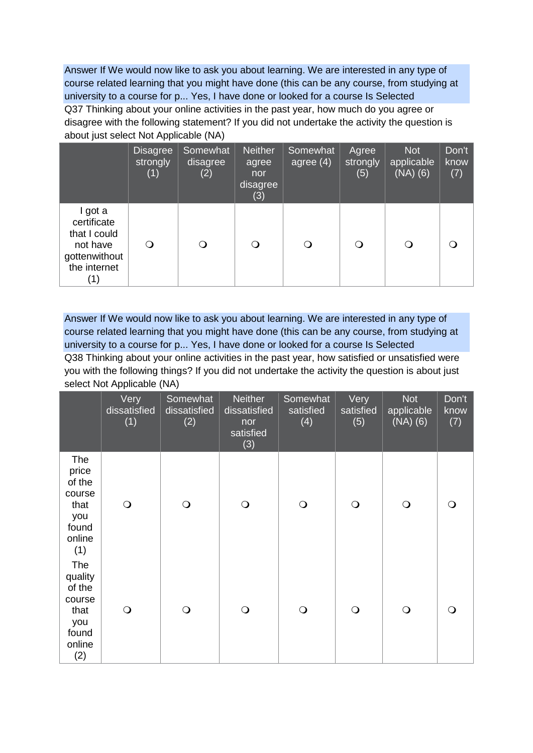Answer If We would now like to ask you about learning. We are interested in any type of course related learning that you might have done (this can be any course, from studying at university to a course for p... Yes, I have done or looked for a course Is Selected Q37 Thinking about your online activities in the past year, how much do you agree or disagree with the following statement? If you did not undertake the activity the question is about just select Not Applicable (NA)

|                                                                                            | <b>Disagree</b><br>strongly<br>(1) | Somewhat<br>disagree<br>(2) | <b>Neither</b><br>agree<br>nor<br>disagree<br>(3) | Somewhat<br>agree $(4)$ | Agree<br>strongly<br>(5) | <b>Not</b><br>applicable<br>$(NA)$ $(6)$ | Don't<br>know<br>(7) |
|--------------------------------------------------------------------------------------------|------------------------------------|-----------------------------|---------------------------------------------------|-------------------------|--------------------------|------------------------------------------|----------------------|
| I got a<br>certificate<br>that I could<br>not have<br>gottenwithout<br>the internet<br>(1) | $\circ$                            |                             |                                                   |                         | O                        | ∩                                        |                      |

Answer If We would now like to ask you about learning. We are interested in any type of course related learning that you might have done (this can be any course, from studying at university to a course for p... Yes, I have done or looked for a course Is Selected Q38 Thinking about your online activities in the past year, how satisfied or unsatisfied were you with the following things? If you did not undertake the activity the question is about just select Not Applicable (NA)

|                                                                                  | Very<br>dissatisfied<br>(1) | Somewhat<br>dissatisfied<br>(2) | <b>Neither</b><br>dissatisfied<br>nor<br>satisfied<br>(3) | Somewhat<br>satisfied<br>(4) | Very<br>satisfied<br>(5) | <b>Not</b><br>applicable<br>$(NA)$ $(6)$ | Don't<br>know<br>(7) |
|----------------------------------------------------------------------------------|-----------------------------|---------------------------------|-----------------------------------------------------------|------------------------------|--------------------------|------------------------------------------|----------------------|
| <b>The</b><br>price<br>of the<br>course<br>that<br>you<br>found<br>online<br>(1) | $\bigcirc$                  | $\bigcirc$                      | $\bigcirc$                                                | $\bigcirc$                   | $\bigcirc$               | $\bigcirc$                               | $\Omega$             |
| The<br>quality<br>of the<br>course<br>that<br>you<br>found<br>online<br>(2)      | $\bigcirc$                  | $\bigcirc$                      | $\bigcirc$                                                | $\bigcirc$                   | $\bigcirc$               | $\bigcirc$                               | $\Omega$             |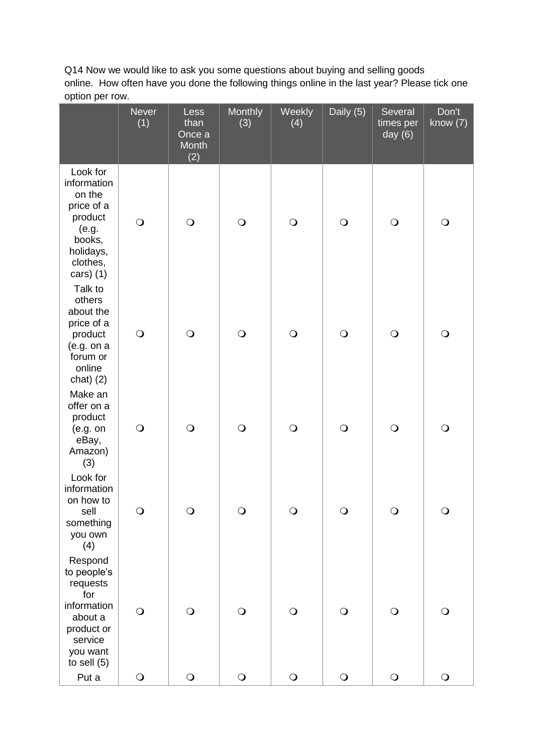Q14 Now we would like to ask you some questions about buying and selling goods online. How often have you done the following things online in the last year? Please tick one option per row.

|                                                                                                                           | <b>Never</b><br>(1) | Less<br>than<br>Once a<br>Month<br>(2) | Monthly<br>(3) | Weekly<br>(4)  | Daily (5)      | Several<br>times per<br>day $(6)$ | Don't<br>know $(7)$ |
|---------------------------------------------------------------------------------------------------------------------------|---------------------|----------------------------------------|----------------|----------------|----------------|-----------------------------------|---------------------|
| Look for<br>information<br>on the<br>price of a<br>product<br>(e.g.<br>books,<br>holidays,<br>clothes,<br>$cars)$ (1)     | $\bigcirc$          | $\bigcirc$                             | $\bigcirc$     | $\bigcirc$     | $\bigcirc$     | $\bigcirc$                        | $\bigcirc$          |
| Talk to<br>others<br>about the<br>price of a<br>product<br>(e.g. on a<br>forum or<br>online<br>$chat)$ (2)                | $\bigcirc$          | $\bigcirc$                             | $\bigcirc$     | $\bigcirc$     | $\bigcirc$     | $\bigcirc$                        | $\bigcirc$          |
| Make an<br>offer on a<br>product<br>(e.g. on<br>eBay,<br>Amazon)<br>(3)                                                   | $\bigcirc$          | $\bigcirc$                             | $\bigcirc$     | $\bigcirc$     | $\bigcirc$     | $\bigcirc$                        | $\bigcirc$          |
| Look for<br>information<br>on how to<br>sell<br>something<br>you own<br>(4)                                               | $\bigcirc$          | $\bigcirc$                             | $\bigcirc$     | $\bigcirc$     | $\bigcirc$     | $\bigcirc$                        | $\bigcirc$          |
| Respond<br>to people's<br>requests<br>for<br>information<br>about a<br>product or<br>service<br>you want<br>to sell $(5)$ | $\bigcirc$          | $\bigcirc$                             | $\bigcirc$     | $\bigcirc$     | $\bigcirc$     | $\bigcirc$                        | $\bigcirc$          |
| Put a                                                                                                                     | $\bigcirc$          | $\overline{O}$                         | $\overline{O}$ | $\overline{O}$ | $\overline{O}$ | $\overline{O}$                    | $\overline{O}$      |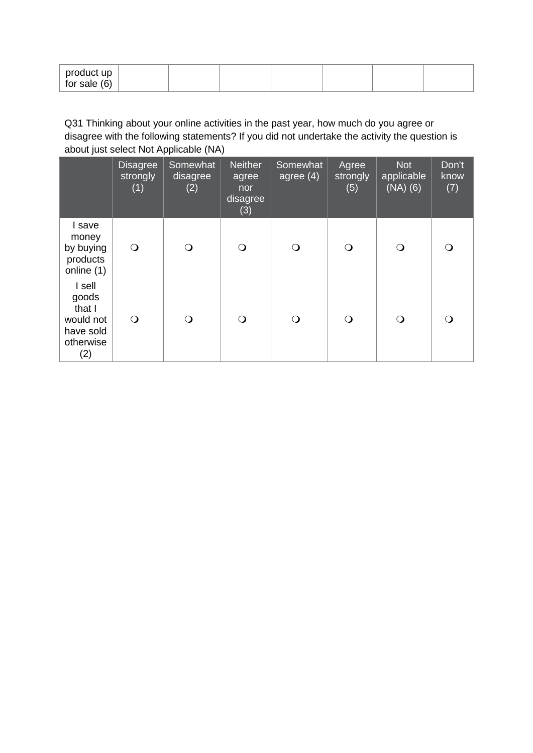| product up     |  |  |  |  |
|----------------|--|--|--|--|
| for sale $(6)$ |  |  |  |  |

Q31 Thinking about your online activities in the past year, how much do you agree or disagree with the following statements? If you did not undertake the activity the question is about just select Not Applicable (NA)

|                                                                         | <b>Disagree</b><br>strongly<br>(1) | Somewhat<br>disagree<br>(2) | Neither<br>agree<br>nor<br>disagree<br>(3) | Somewhat<br>agree $(4)$ | Agree<br>strongly<br>(5) | <b>Not</b><br>applicable<br>$(NA)$ $(6)$ | Don't<br>know<br>(7) |
|-------------------------------------------------------------------------|------------------------------------|-----------------------------|--------------------------------------------|-------------------------|--------------------------|------------------------------------------|----------------------|
| I save<br>money<br>by buying<br>products<br>online (1)                  | $\bigcirc$                         | $\Omega$                    | $\bigcirc$                                 | $\bigcirc$              | $\bigcirc$               | $\mathsf{O}$                             | O                    |
| I sell<br>goods<br>that I<br>would not<br>have sold<br>otherwise<br>(2) | $\bigcirc$                         | ∩                           | $\bigcirc$                                 | $\Omega$                | $\Omega$                 | Q                                        | ∩                    |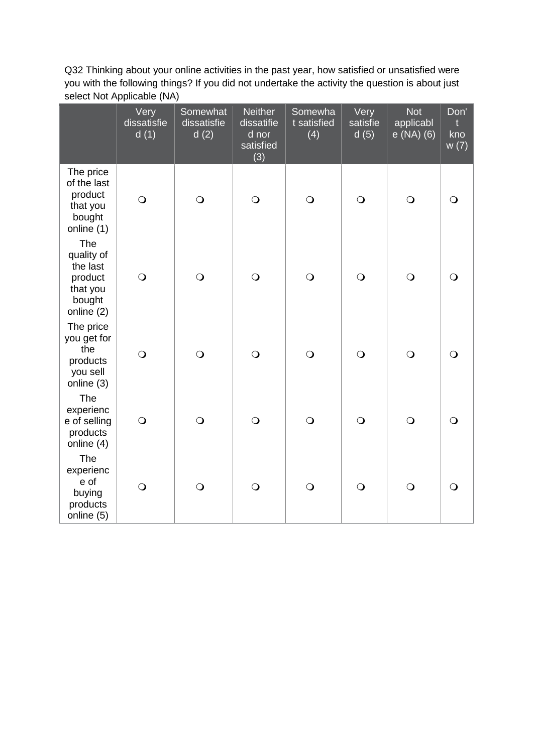Q32 Thinking about your online activities in the past year, how satisfied or unsatisfied were you with the following things? If you did not undertake the activity the question is about just select Not Applicable (NA)

|                                                                              | Very<br>dissatisfie<br>d(1) | Somewhat<br>dissatisfie<br>d(2) | <b>Neither</b><br>dissatifie<br>d nor<br>satisfied<br>(3) | Somewha<br>t satisfied<br>(4) | Very<br>satisfie<br>d(5) | <b>Not</b><br>applicabl<br>e (NA) (6) | Don'<br>$\mathbf t$<br>kno<br>W(7) |
|------------------------------------------------------------------------------|-----------------------------|---------------------------------|-----------------------------------------------------------|-------------------------------|--------------------------|---------------------------------------|------------------------------------|
| The price<br>of the last<br>product<br>that you<br>bought<br>online (1)      | $\bigcirc$                  | $\bigcirc$                      | $\bigcirc$                                                | $\bigcirc$                    | $\bigcirc$               | $\bigcirc$                            | $\bigcirc$                         |
| The<br>quality of<br>the last<br>product<br>that you<br>bought<br>online (2) | $\bigcirc$                  | $\bigcirc$                      | $\bigcirc$                                                | $\bigcirc$                    | $\bigcirc$               | $\bigcirc$                            | $\bigcirc$                         |
| The price<br>you get for<br>the<br>products<br>you sell<br>online (3)        | $\bigcirc$                  | $\bigcirc$                      | $\bigcirc$                                                | $\bigcirc$                    | $\bigcirc$               | $\bigcirc$                            | $\bigcirc$                         |
| The<br>experienc<br>e of selling<br>products<br>online (4)                   | $\bigcirc$                  | $\bigcirc$                      | $\bigcirc$                                                | $\bigcirc$                    | $\bigcirc$               | $\bigcirc$                            | $\overline{O}$                     |
| The<br>experienc<br>e of<br>buying<br>products<br>online (5)                 | $\bigcirc$                  | $\overline{O}$                  | $\bigcirc$                                                | $\bigcirc$                    | $\bigcirc$               | $\bigcirc$                            | $\bigcirc$                         |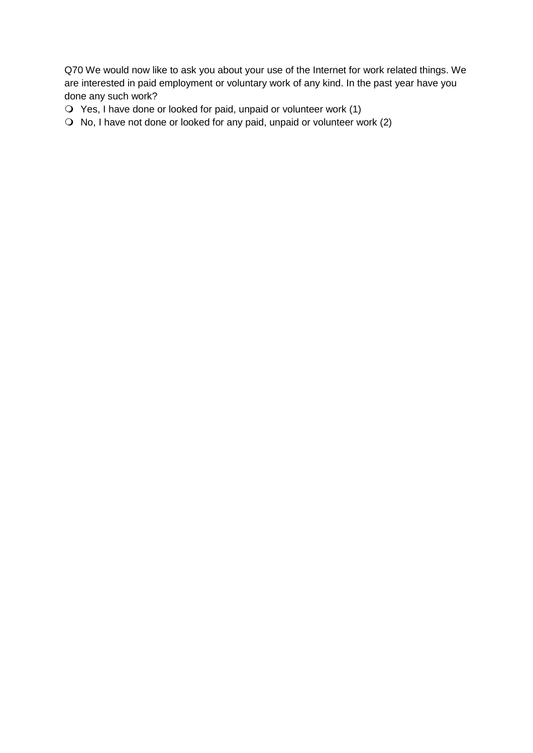Q70 We would now like to ask you about your use of the Internet for work related things. We are interested in paid employment or voluntary work of any kind. In the past year have you done any such work?

- Yes, I have done or looked for paid, unpaid or volunteer work (1)
- No, I have not done or looked for any paid, unpaid or volunteer work (2)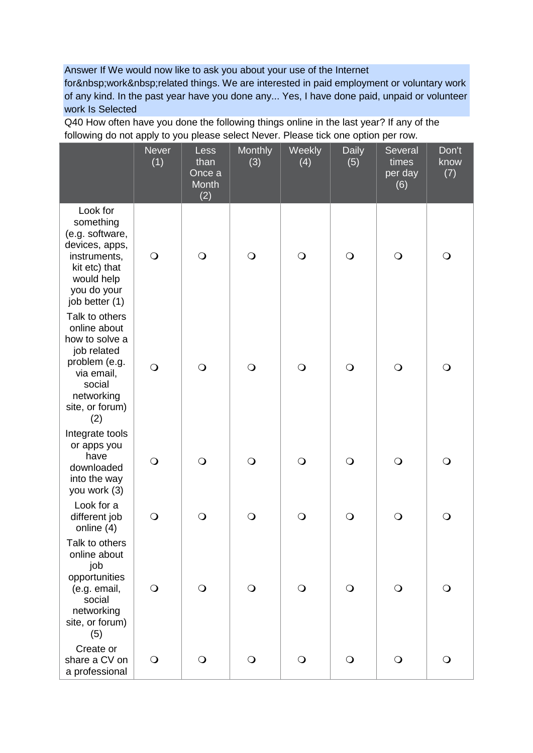Answer If We would now like to ask you about your use of the Internet

for work related things. We are interested in paid employment or voluntary work of any kind. In the past year have you done any... Yes, I have done paid, unpaid or volunteer work Is Selected

Q40 How often have you done the following things online in the last year? If any of the following do not apply to you please select Never. Please tick one option per row.

|                                                                                                                                                  | <b>Never</b><br>(1) | Less<br>than<br>Once a<br>Month<br>(2) | Monthly<br>(3) | Weekly<br>(4) | <b>Daily</b><br>(5) | Several<br>times<br>per day<br>(6) | Don't<br>know<br>(7) |
|--------------------------------------------------------------------------------------------------------------------------------------------------|---------------------|----------------------------------------|----------------|---------------|---------------------|------------------------------------|----------------------|
| Look for<br>something<br>(e.g. software,<br>devices, apps,<br>instruments,<br>kit etc) that<br>would help<br>you do your<br>job better (1)       | $\bigcirc$          | $\bigcirc$                             | $\bigcirc$     | $\bigcirc$    | $\bigcirc$          | $\bigcirc$                         | $\mathsf{O}$         |
| Talk to others<br>online about<br>how to solve a<br>job related<br>problem (e.g.<br>via email,<br>social<br>networking<br>site, or forum)<br>(2) | $\bigcirc$          | $\bigcirc$                             | $\bigcirc$     | $\bigcirc$    | $\bigcirc$          | $\bigcirc$                         | $\Omega$             |
| Integrate tools<br>or apps you<br>have<br>downloaded<br>into the way<br>you work (3)                                                             | $\bigcirc$          | $\bigcirc$                             | $\bigcirc$     | $\bigcirc$    | $\bigcirc$          | $\bigcirc$                         | $\mathsf{O}$         |
| Look for a<br>different job<br>online (4)                                                                                                        | $\bigcirc$          | $\bigcirc$                             | $\bigcirc$     | $\bigcirc$    | $\bigcirc$          | $\bigcirc$                         | $\mathsf{O}$         |
| Talk to others<br>online about<br>job<br>opportunities<br>(e.g. email,<br>social<br>networking<br>site, or forum)<br>(5)                         | $\bigcirc$          | $\bigcirc$                             | $\bigcirc$     | $\bigcirc$    | $\bigcirc$          | $\bigcirc$                         | O                    |
| Create or<br>share a CV on<br>a professional                                                                                                     | $\bigcirc$          | $\bigcirc$                             | $\bigcirc$     | $\bigcirc$    | $\bigcirc$          | $\bigcirc$                         | $\circ$              |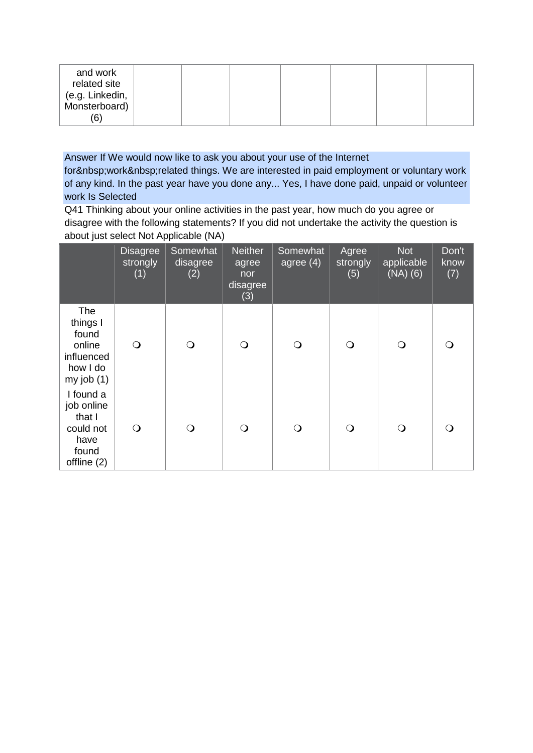| and work<br>related site<br>(e.g. Linkedin,<br>Monsterboard)<br>(6) |  |  |  |  |
|---------------------------------------------------------------------|--|--|--|--|
|                                                                     |  |  |  |  |

Answer If We would now like to ask you about your use of the Internet

for work related things. We are interested in paid employment or voluntary work of any kind. In the past year have you done any... Yes, I have done paid, unpaid or volunteer work Is Selected

Q41 Thinking about your online activities in the past year, how much do you agree or disagree with the following statements? If you did not undertake the activity the question is about just select Not Applicable (NA)

|                                                                                     | <b>Disagree</b><br>strongly<br>(1) | Somewhat<br>disagree<br>(2) | <b>Neither</b><br>agree<br>nor<br>disagree<br>(3) | Somewhat<br>agree $(4)$ | Agree<br>strongly<br>(5) | <b>Not</b><br>applicable<br>$(NA)$ $(6)$ | Don't<br>know<br>(7) |
|-------------------------------------------------------------------------------------|------------------------------------|-----------------------------|---------------------------------------------------|-------------------------|--------------------------|------------------------------------------|----------------------|
| <b>The</b><br>things I<br>found<br>online<br>influenced<br>how I do<br>my job $(1)$ | $\bigcirc$                         | Q                           | $\Omega$                                          | $\bigcirc$              | $\bigcirc$               | $\bigcirc$                               | Q                    |
| I found a<br>job online<br>that I<br>could not<br>have<br>found<br>offline (2)      | $\bigcirc$                         | O                           | $\Omega$                                          | $\bigcirc$              | $\bigcirc$               | $\bigcirc$                               | $\Omega$             |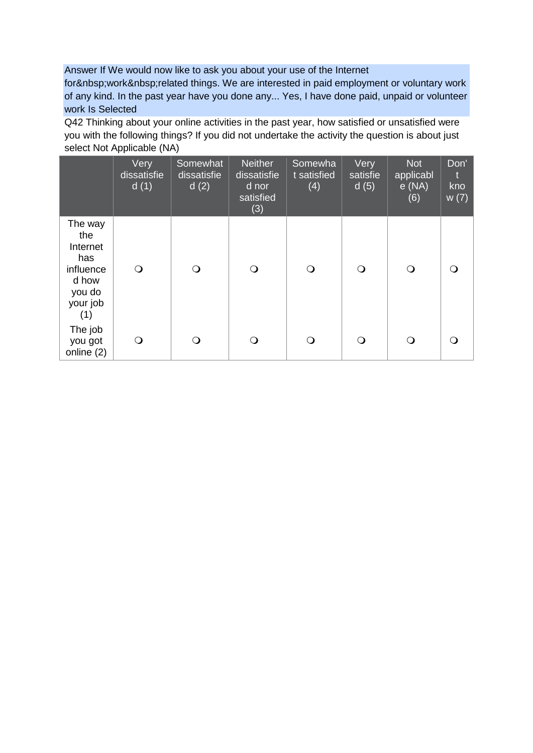Answer If We would now like to ask you about your use of the Internet

for work related things. We are interested in paid employment or voluntary work of any kind. In the past year have you done any... Yes, I have done paid, unpaid or volunteer work Is Selected

Q42 Thinking about your online activities in the past year, how satisfied or unsatisfied were you with the following things? If you did not undertake the activity the question is about just select Not Applicable (NA)

|                                                                                      | Very<br>dissatisfie<br>d(1) | Somewhat<br>dissatisfie<br>d(2) | <b>Neither</b><br>dissatisfie<br>d nor<br>satisfied<br>(3) | Somewha<br>t satisfied<br>(4) | Very<br>satisfie<br>d(5) | <b>Not</b><br>applicabl<br>e(NA)<br>(6) | Don'<br>$\mathbf t$<br>kno<br>W(7) |
|--------------------------------------------------------------------------------------|-----------------------------|---------------------------------|------------------------------------------------------------|-------------------------------|--------------------------|-----------------------------------------|------------------------------------|
| The way<br>the<br>Internet<br>has<br>influence<br>d how<br>you do<br>your job<br>(1) | $\bigcirc$                  | $\bigcirc$                      | $\Omega$                                                   | $\Omega$                      | $\bigcirc$               | $\circ$                                 |                                    |
| The job<br>you got<br>online (2)                                                     | O                           | $\Omega$                        | ∩                                                          | Q                             | $\bigcirc$               | $\Omega$                                |                                    |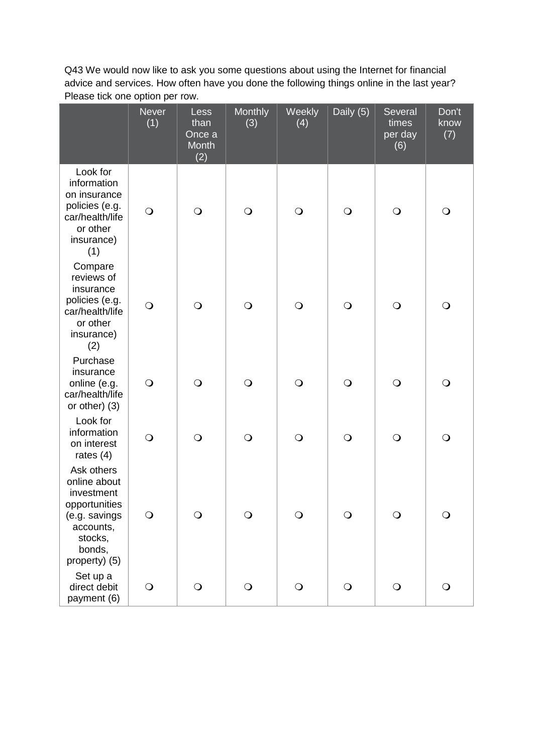Q43 We would now like to ask you some questions about using the Internet for financial advice and services. How often have you done the following things online in the last year? Please tick one option per row.

|                                                                                                                               | <b>Never</b><br>(1) | Less<br>than<br>Once a<br>Month<br>(2) | <b>Monthly</b><br>(3) | <b>Weekly</b><br>(4) | Daily (5)  | Several<br>times<br>per day<br>(6) | Don't<br>know<br>(7) |
|-------------------------------------------------------------------------------------------------------------------------------|---------------------|----------------------------------------|-----------------------|----------------------|------------|------------------------------------|----------------------|
| Look for<br>information<br>on insurance<br>policies (e.g.<br>car/health/life<br>or other<br>insurance)<br>(1)                 | $\bigcirc$          | $\bigcirc$                             | $\bigcirc$            | $\bigcirc$           | $\bigcirc$ | $\bigcirc$                         | $\bigcirc$           |
| Compare<br>reviews of<br>insurance<br>policies (e.g.<br>car/health/life<br>or other<br>insurance)<br>(2)                      | $\bigcirc$          | $\bigcirc$                             | $\bigcirc$            | $\bigcirc$           | $\bigcirc$ | $\bigcirc$                         | $\bigcirc$           |
| Purchase<br>insurance<br>online (e.g.<br>car/health/life<br>or other) $(3)$                                                   | $\bigcirc$          | $\bigcirc$                             | $\bigcirc$            | $\bigcirc$           | $\bigcirc$ | $\bigcirc$                         | $\mathsf{O}$         |
| Look for<br>information<br>on interest<br>rates $(4)$                                                                         | $\bigcirc$          | $\bigcirc$                             | $\bigcirc$            | $\bigcirc$           | $\bigcirc$ | $\bigcirc$                         | $\bigcirc$           |
| Ask others<br>online about<br>investment<br>opportunities<br>(e.g. savings<br>accounts,<br>stocks,<br>bonds,<br>property) (5) | $\bigcirc$          | $\bigcirc$                             | $\bigcirc$            | $\bigcirc$           | $\bigcirc$ | $\bigcirc$                         | $\bigcirc$           |
| Set up a<br>direct debit<br>payment (6)                                                                                       | $\bigcirc$          | $\bigcirc$                             | $\bigcirc$            | $\bigcirc$           | $\bigcirc$ | $\bigcirc$                         | O                    |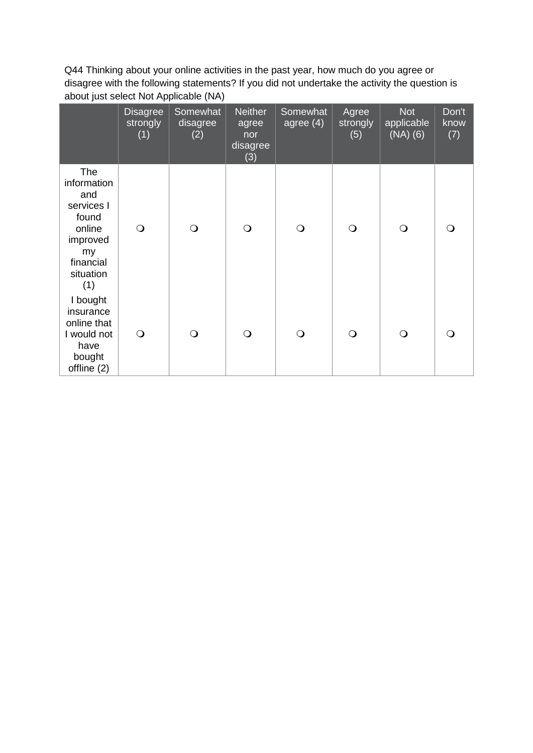Q44 Thinking about your online activities in the past year, how much do you agree or disagree with the following statements? If you did not undertake the activity the question is about just select Not Applicable (NA)

|                                                                                                                      | <b>Disagree</b><br>strongly<br>(1) | Somewhat<br>disagree<br>(2) | <b>Neither</b><br>agree<br>nor<br>disagree<br>(3) | Somewhat<br>agree (4) | Agree<br>strongly<br>(5) | <b>Not</b><br>applicable<br>$(NA)$ $(6)$ | Don't<br>know<br>(7) |
|----------------------------------------------------------------------------------------------------------------------|------------------------------------|-----------------------------|---------------------------------------------------|-----------------------|--------------------------|------------------------------------------|----------------------|
| <b>The</b><br>information<br>and<br>services I<br>found<br>online<br>improved<br>my<br>financial<br>situation<br>(1) | $\bigcirc$                         | $\bigcirc$                  | $\bigcirc$                                        | $\bigcirc$            | $\bigcirc$               | $\bigcirc$                               | $\Omega$             |
| I bought<br>insurance<br>online that<br>I would not<br>have<br>bought<br>offline (2)                                 | $\bigcirc$                         | $\bigcirc$                  | $\bigcirc$                                        | $\bigcirc$            | $\bigcirc$               | $\bigcirc$                               | $\Omega$             |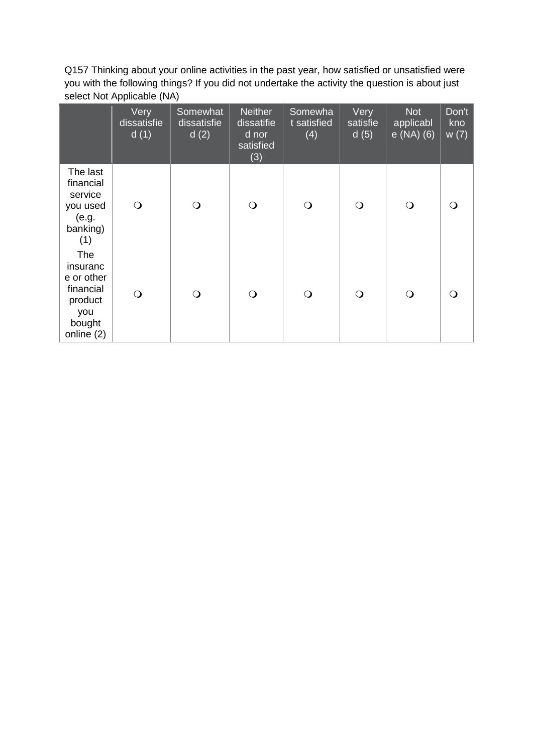Q157 Thinking about your online activities in the past year, how satisfied or unsatisfied were you with the following things? If you did not undertake the activity the question is about just select Not Applicable (NA)

|                                                                                      | Very<br>dissatisfie<br>d(1) | Somewhat<br>dissatisfie<br>d(2) | <b>Neither</b><br>dissatifie<br>d nor<br>satisfied<br>(3) | Somewha<br>t satisfied<br>(4) | Very<br>satisfie<br>d(5) | <b>Not</b><br>applicabl<br>$e$ (NA) (6) | Don't<br>kno<br>w(7) |
|--------------------------------------------------------------------------------------|-----------------------------|---------------------------------|-----------------------------------------------------------|-------------------------------|--------------------------|-----------------------------------------|----------------------|
| The last<br>financial<br>service<br>you used<br>(e.g.<br>banking)<br>(1)             | $\bigcirc$                  | ∩                               | $\bigcirc$                                                | $\bigcirc$                    | $\bigcirc$               | $\Omega$                                | ∩                    |
| The<br>insuranc<br>e or other<br>financial<br>product<br>you<br>bought<br>online (2) | $\mathsf{O}$                | $\Omega$                        | $\bigcirc$                                                | $\bigcirc$                    | $\mathbf{O}$             | Q                                       | ∩                    |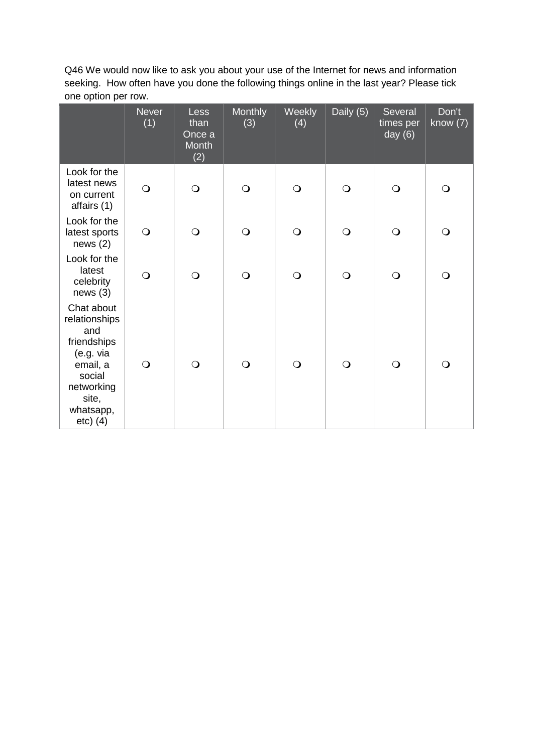Q46 We would now like to ask you about your use of the Internet for news and information seeking. How often have you done the following things online in the last year? Please tick one option per row.

|                                                                                                                                        | <b>Never</b><br>(1) | Less<br>than<br>Once a<br><b>Month</b><br>(2) | Monthly<br>(3) | Weekly<br>(4) | Daily (5)  | Several<br>times per<br>day $(6)$ | Don't<br>know $(7)$ |
|----------------------------------------------------------------------------------------------------------------------------------------|---------------------|-----------------------------------------------|----------------|---------------|------------|-----------------------------------|---------------------|
| Look for the<br>latest news<br>on current<br>affairs (1)                                                                               | $\bigcirc$          | $\bigcirc$                                    | $\bigcirc$     | $\bigcirc$    | $\bigcirc$ | $\bigcirc$                        | $\bigcirc$          |
| Look for the<br>latest sports<br>news(2)                                                                                               | $\bigcirc$          | $\bigcirc$                                    | $\bigcirc$     | $\bigcirc$    | $\bigcirc$ | $\bigcirc$                        | $\bigcirc$          |
| Look for the<br>latest<br>celebrity<br>news(3)                                                                                         | $\bigcirc$          | $\bigcirc$                                    | $\bigcirc$     | $\bigcirc$    | $\bigcirc$ | $\bigcirc$                        | $\bigcirc$          |
| Chat about<br>relationships<br>and<br>friendships<br>(e.g. via<br>email, a<br>social<br>networking<br>site,<br>whatsapp,<br>$etc)$ (4) | $\bigcirc$          | $\bigcirc$                                    | $\bigcirc$     | $\bigcirc$    | $\bigcirc$ | $\overline{O}$                    | O                   |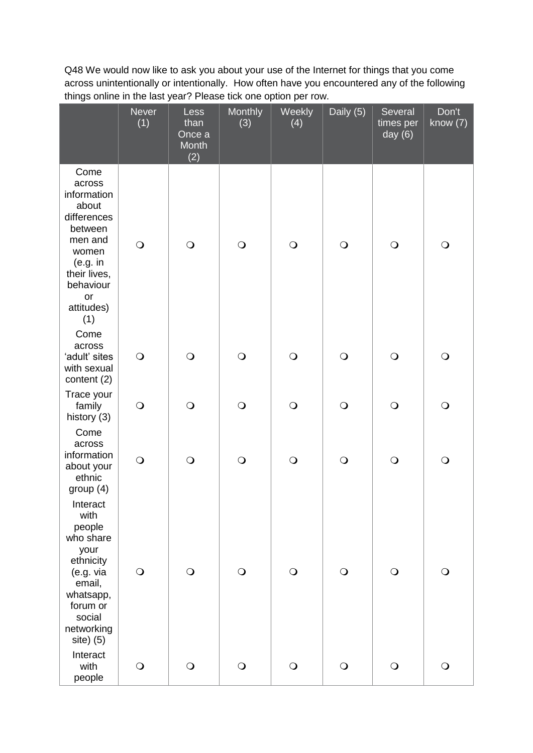Q48 We would now like to ask you about your use of the Internet for things that you come across unintentionally or intentionally. How often have you encountered any of the following things online in the last year? Please tick one option per row.

|                                                                                                                                                          | <b>Never</b><br>(1) | Less<br>than<br>Once a<br>Month<br>(2) | Monthly<br>(3) | Weekly<br>(4) | Daily (5)  | Several<br>times per<br>day $(6)$ | Don't<br>know $(7)$ |
|----------------------------------------------------------------------------------------------------------------------------------------------------------|---------------------|----------------------------------------|----------------|---------------|------------|-----------------------------------|---------------------|
| Come<br>across<br>information<br>about<br>differences<br>between<br>men and<br>women<br>(e.g. in<br>their lives,<br>behaviour<br>or<br>attitudes)<br>(1) | $\bigcirc$          | $\bigcirc$                             | $\bigcirc$     | $\bigcirc$    | $\bigcirc$ | $\bigcirc$                        | $\bigcirc$          |
| Come<br>across<br>'adult' sites<br>with sexual<br>content (2)                                                                                            | $\bigcirc$          | $\bigcirc$                             | $\bigcirc$     | $\bigcirc$    | $\bigcirc$ | $\bigcirc$                        | $\bigcirc$          |
| Trace your<br>family<br>history (3)                                                                                                                      | $\bigcirc$          | $\bigcirc$                             | $\bigcirc$     | $\bigcirc$    | $\bigcirc$ | $\bigcirc$                        | $\bigcirc$          |
| Come<br>across<br>information<br>about your<br>ethnic<br>group (4)                                                                                       | $\bigcirc$          | $\bigcirc$                             | $\bigcirc$     | $\bigcirc$    | $\bigcirc$ | $\bigcirc$                        | $\bigcirc$          |
| Interact<br>with<br>people<br>who share<br>your<br>ethnicity<br>(e.g. via<br>email,<br>whatsapp,<br>forum or<br>social<br>networking<br>$site)$ (5)      | $\bigcirc$          | $\bigcirc$                             | $\bigcirc$     | $\bigcirc$    | $\bigcirc$ | $\bigcirc$                        | $\bigcirc$          |
| Interact<br>with<br>people                                                                                                                               | $\bigcirc$          | $\bigcirc$                             | $\bigcirc$     | $\bigcirc$    | $\bigcirc$ | $\bigcirc$                        | $\bigcirc$          |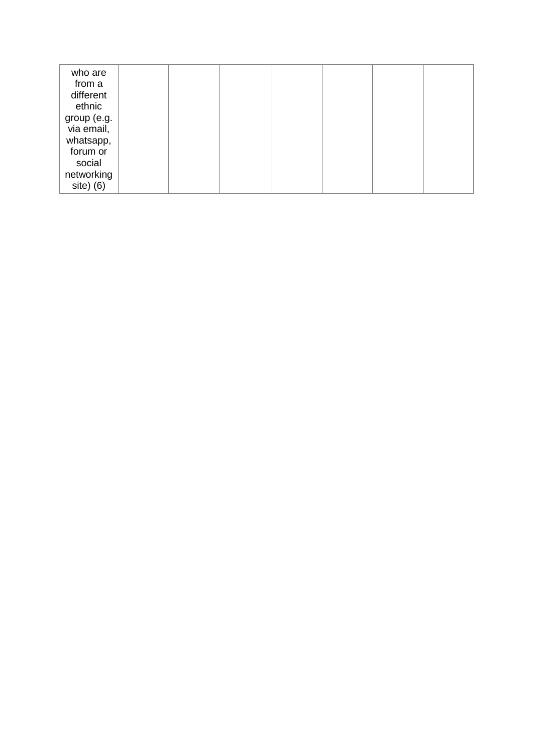| who are<br>from a<br>different<br>ethnic<br>group (e.g.<br>via email,<br>whatsapp,<br>forum or<br>social |  |  |  |  |
|----------------------------------------------------------------------------------------------------------|--|--|--|--|
|                                                                                                          |  |  |  |  |
| networking<br>$site)$ (6)                                                                                |  |  |  |  |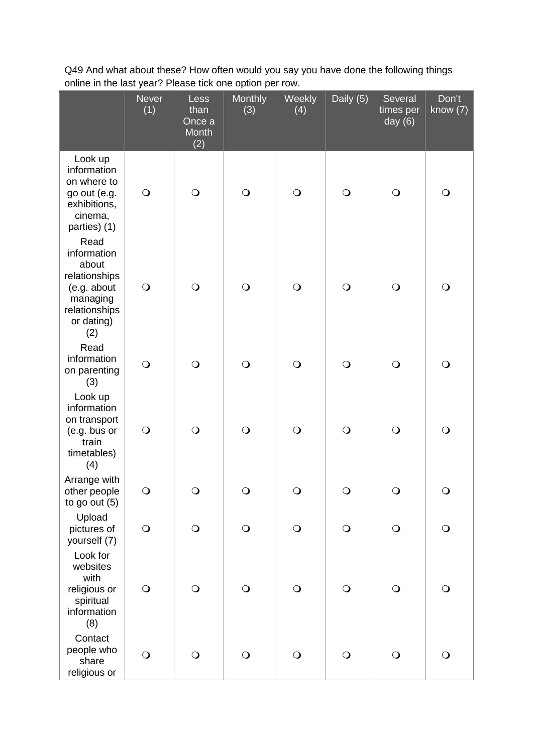Q49 And what about these? How often would you say you have done the following things online in the last year? Please tick one option per row.

|                                                                                                                | <b>Never</b><br>(1) | Less<br>than<br>Once a<br>Month<br>(2) | <b>Monthly</b><br>(3) | Weekly<br>(4) | Daily (5)  | Several<br>times per<br>day $(6)$ | Don't<br>know $(7)$ |
|----------------------------------------------------------------------------------------------------------------|---------------------|----------------------------------------|-----------------------|---------------|------------|-----------------------------------|---------------------|
| Look up<br>information<br>on where to<br>go out (e.g.<br>exhibitions,<br>cinema,<br>parties) (1)               | $\bigcirc$          | $\bigcirc$                             | $\bigcirc$            | $\bigcirc$    | $\bigcirc$ | $\bigcirc$                        | $\bigcirc$          |
| Read<br>information<br>about<br>relationships<br>(e.g. about<br>managing<br>relationships<br>or dating)<br>(2) | $\bigcirc$          | $\bigcirc$                             | $\bigcirc$            | $\bigcirc$    | $\bigcirc$ | $\bigcirc$                        | $\bigcirc$          |
| Read<br>information<br>on parenting<br>(3)                                                                     | $\bigcirc$          | $\bigcirc$                             | $\bigcirc$            | $\bigcirc$    | $\bigcirc$ | $\bigcirc$                        | $\bigcirc$          |
| Look up<br>information<br>on transport<br>(e.g. bus or<br>train<br>timetables)<br>(4)                          | $\bigcirc$          | $\bigcirc$                             | $\bigcirc$            | $\bigcirc$    | $\bigcirc$ | $\bigcirc$                        | $\bigcirc$          |
| Arrange with<br>other people<br>to go out $(5)$                                                                | $\Omega$            | ∩                                      | ∩                     | ∩             | ∩          | $\Omega$                          | $\Omega$            |
| Upload<br>pictures of<br>yourself (7)                                                                          | $\bigcirc$          | $\bigcirc$                             | $\bigcirc$            | $\bigcirc$    | $\bigcirc$ | $\bigcirc$                        | $\bigcirc$          |
| Look for<br>websites<br>with<br>religious or<br>spiritual<br>information<br>(8)                                | $\bigcirc$          | $\bigcirc$                             | $\bigcirc$            | $\bigcirc$    | $\bigcirc$ | $\bigcirc$                        | $\bigcirc$          |
| Contact<br>people who<br>share<br>religious or                                                                 | $\bigcirc$          | $\bigcirc$                             | $\bigcirc$            | $\bigcirc$    | $\bigcirc$ | $\bigcirc$                        | $\bigcirc$          |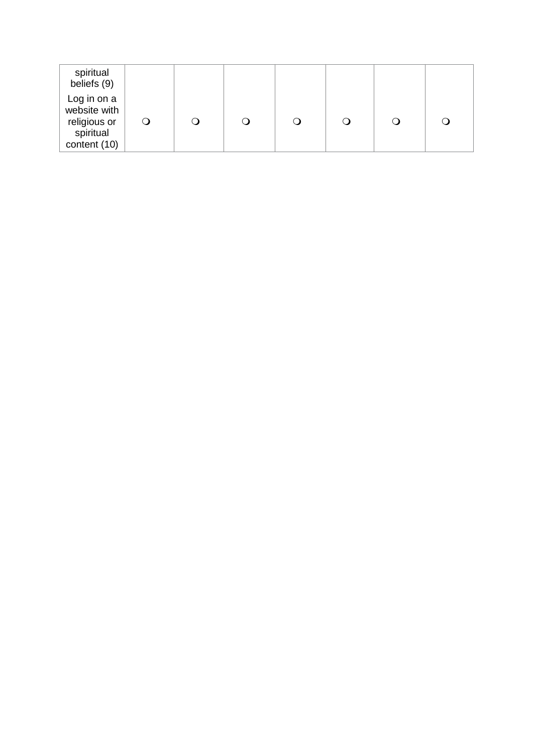| spiritual<br>beliefs (9)                                                 |  |   |  |  |
|--------------------------------------------------------------------------|--|---|--|--|
| Log in on a<br>website with<br>religious or<br>spiritual<br>content (10) |  | ں |  |  |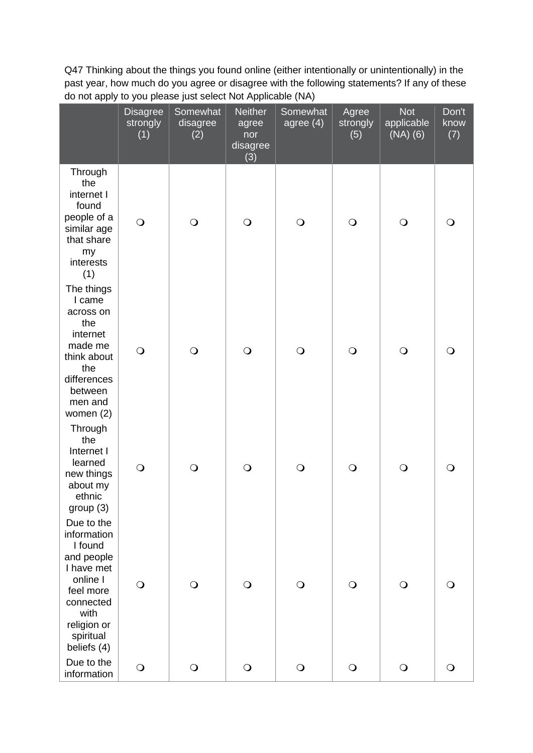Q47 Thinking about the things you found online (either intentionally or unintentionally) in the past year, how much do you agree or disagree with the following statements? If any of these do not apply to you please just select Not Applicable (NA)

|                                                                                                                                                           | <b>Disagree</b><br>strongly<br>(1) | Somewhat<br>disagree<br>(2) | <b>Neither</b><br>agree<br>nor<br>disagree<br>(3) | Somewhat<br>agree $(4)$ | Agree<br>strongly<br>(5) | <b>Not</b><br>applicable<br>$(NA)$ $(6)$ | Don't<br>know<br>(7) |
|-----------------------------------------------------------------------------------------------------------------------------------------------------------|------------------------------------|-----------------------------|---------------------------------------------------|-------------------------|--------------------------|------------------------------------------|----------------------|
| Through<br>the<br>internet I<br>found<br>people of a<br>similar age<br>that share<br>my<br>interests<br>(1)                                               | $\bigcirc$                         | $\bigcirc$                  | $\bigcirc$                                        | $\bigcirc$              | $\bigcirc$               | $\bigcirc$                               | $\bigcirc$           |
| The things<br>I came<br>across on<br>the<br>internet<br>made me<br>think about<br>the<br>differences<br>between<br>men and<br>women $(2)$                 | $\bigcirc$                         | $\bigcirc$                  | $\bigcirc$                                        | $\bigcirc$              | $\bigcirc$               | $\bigcirc$                               | $\bigcirc$           |
| Through<br>the<br>Internet I<br>learned<br>new things<br>about my<br>ethnic<br>group (3)                                                                  | $\bigcirc$                         | $\bigcirc$                  | $\bigcirc$                                        | $\bigcirc$              | $\bigcirc$               | $\bigcirc$                               | $\Omega$             |
| Due to the<br>information<br>I found<br>and people<br>I have met<br>online I<br>feel more<br>connected<br>with<br>religion or<br>spiritual<br>beliefs (4) | $\bigcirc$                         | $\bigcirc$                  | $\bigcirc$                                        | $\bigcirc$              | $\bigcirc$               | $\bigcirc$                               | $\Omega$             |
| Due to the<br>information                                                                                                                                 | $\bigcirc$                         | $\bigcirc$                  | $\bigcirc$                                        | $\bigcirc$              | $\bigcirc$               | $\bigcirc$                               | $\bigcirc$           |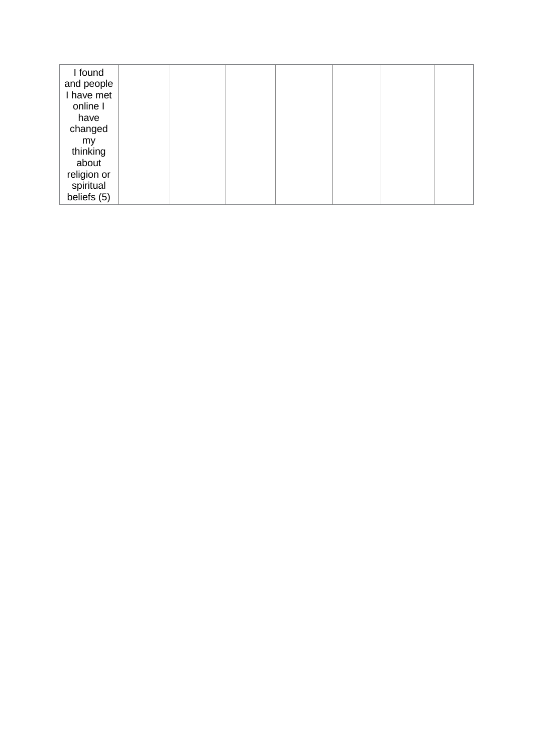| I found<br>and people |  |  |  |  |
|-----------------------|--|--|--|--|
| I have met            |  |  |  |  |
| online I              |  |  |  |  |
| have                  |  |  |  |  |
| changed               |  |  |  |  |
| my                    |  |  |  |  |
| thinking              |  |  |  |  |
| about                 |  |  |  |  |
| religion or           |  |  |  |  |
| spiritual             |  |  |  |  |
| beliefs (5)           |  |  |  |  |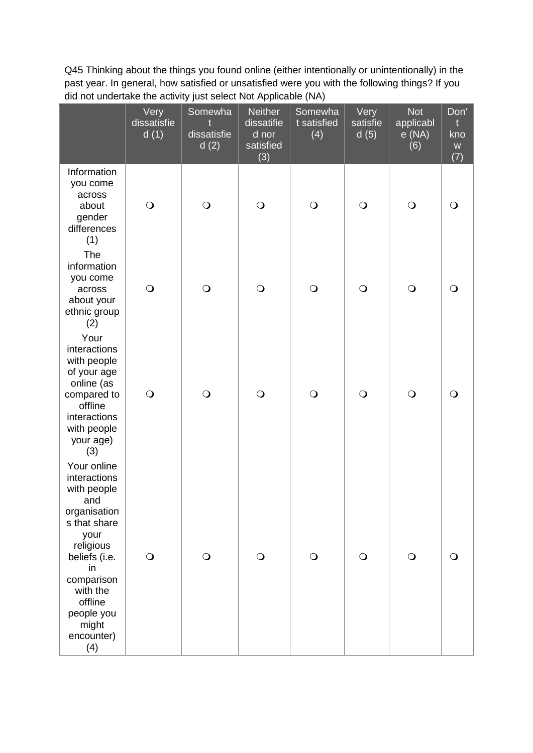Q45 Thinking about the things you found online (either intentionally or unintentionally) in the past year. In general, how satisfied or unsatisfied were you with the following things? If you did not undertake the activity just select Not Applicable (NA)

|                                                                                                                                                                                                                | Very<br>dissatisfie<br>d(1) | Somewha<br>dissatisfie<br>d(2) | <b>Neither</b><br>dissatifie<br>d nor<br>satisfied<br>(3) | Somewha<br>t satisfied<br>(4) | Very<br>satisfie<br>d(5) | <b>Not</b><br>applicabl<br>$e$ (NA)<br>(6) | $\overline{\mathsf{Don}}$<br>$\mathsf{t}$<br>kno<br>${\mathsf W}$<br>(7) |
|----------------------------------------------------------------------------------------------------------------------------------------------------------------------------------------------------------------|-----------------------------|--------------------------------|-----------------------------------------------------------|-------------------------------|--------------------------|--------------------------------------------|--------------------------------------------------------------------------|
| Information<br>you come<br>across<br>about<br>gender<br>differences<br>(1)                                                                                                                                     | $\bigcirc$                  | $\bigcirc$                     | $\bigcirc$                                                | $\bigcirc$                    | $\bigcirc$               | $\bigcirc$                                 | $\bigcirc$                                                               |
| The<br>information<br>you come<br>across<br>about your<br>ethnic group<br>(2)                                                                                                                                  | $\bigcirc$                  | $\bigcirc$                     | $\bigcirc$                                                | $\bigcirc$                    | $\bigcirc$               | $\bigcirc$                                 | $\bigcirc$                                                               |
| Your<br>interactions<br>with people<br>of your age<br>online (as<br>compared to<br>offline<br>interactions<br>with people<br>your age)<br>(3)                                                                  | $\bigcirc$                  | $\bigcirc$                     | $\bigcirc$                                                | $\bigcirc$                    | $\bigcirc$               | $\bigcirc$                                 | $\mathsf{O}$                                                             |
| Your online<br>interactions<br>with people<br>and<br>organisation<br>s that share<br>your<br>religious<br>beliefs (i.e.<br>in<br>comparison<br>with the<br>offline<br>people you<br>might<br>encounter)<br>(4) | $\bigcirc$                  | $\bigcirc$                     | $\bigcirc$                                                | $\bigcirc$                    | $\bigcirc$               | $\bigcirc$                                 | Q                                                                        |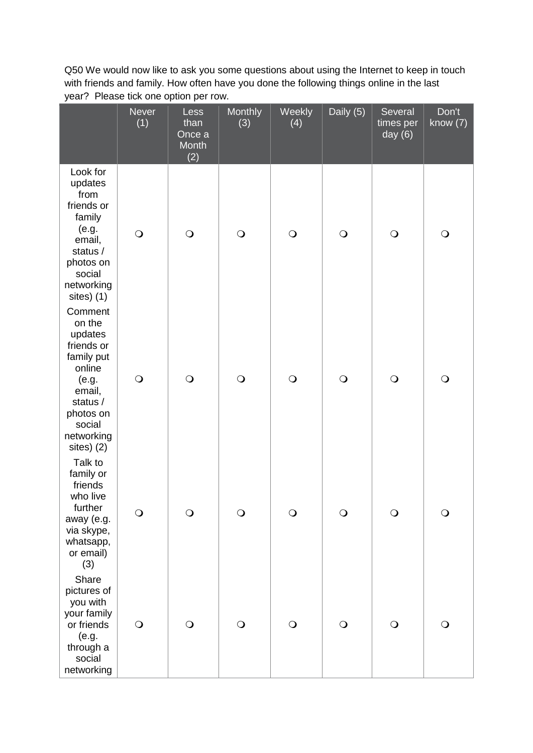Q50 We would now like to ask you some questions about using the Internet to keep in touch with friends and family. How often have you done the following things online in the last year? Please tick one option per row.

|                                                                                                                                                      | <b>Never</b><br>(1) | Less<br>than<br>Once a<br>Month<br>(2) | Monthly<br>(3) | Weekly<br>(4) | Daily (5)  | Several<br>times per<br>day $(6)$ | Don't<br>know (7) |
|------------------------------------------------------------------------------------------------------------------------------------------------------|---------------------|----------------------------------------|----------------|---------------|------------|-----------------------------------|-------------------|
| Look for<br>updates<br>from<br>friends or<br>family<br>(e.g.<br>email,<br>status /<br>photos on<br>social<br>networking<br>sites) (1)                | $\bigcirc$          | $\bigcirc$                             | $\bigcirc$     | $\bigcirc$    | $\bigcirc$ | $\bigcirc$                        | $\bigcirc$        |
| Comment<br>on the<br>updates<br>friends or<br>family put<br>online<br>(e.g.<br>email,<br>status /<br>photos on<br>social<br>networking<br>sites) (2) | $\bigcirc$          | $\bigcirc$                             | $\bigcirc$     | $\bigcirc$    | $\bigcirc$ | $\bigcirc$                        | $\bigcirc$        |
| Talk to<br>family or<br>friends<br>who live<br>further<br>away (e.g.<br>via skype,<br>whatsapp,<br>or email)<br>(3)                                  | $\bigcirc$          | $\bigcirc$                             | $\bigcirc$     | $\bigcirc$    | $\bigcirc$ | $\bigcirc$                        | $\bigcirc$        |
| Share<br>pictures of<br>you with<br>your family<br>or friends<br>(e.g.<br>through a<br>social<br>networking                                          | $\bigcirc$          | $\bigcirc$                             | $\bigcirc$     | $\bigcirc$    | $\bigcirc$ | $\bigcirc$                        | $\bigcirc$        |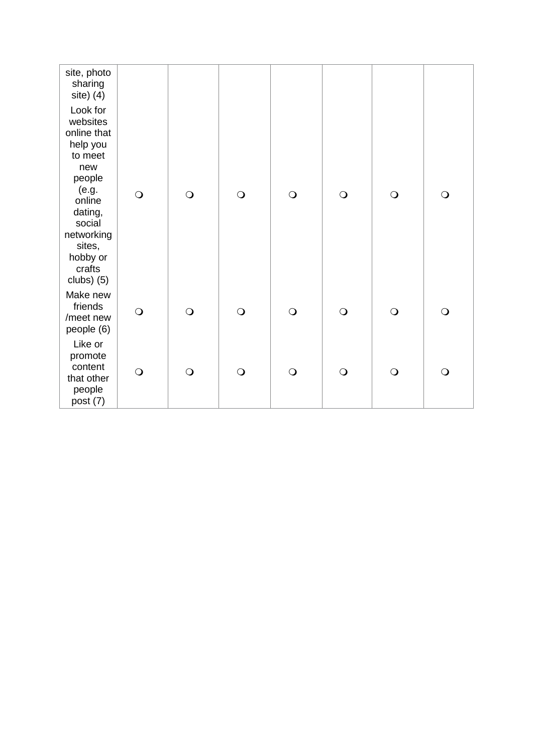| site, photo<br>sharing<br>$site)$ (4)                                                                                                                                             |            |            |            |            |            |            |                |
|-----------------------------------------------------------------------------------------------------------------------------------------------------------------------------------|------------|------------|------------|------------|------------|------------|----------------|
| Look for<br>websites<br>online that<br>help you<br>to meet<br>new<br>people<br>(e.g.<br>online<br>dating,<br>social<br>networking<br>sites,<br>hobby or<br>crafts<br>clubs) $(5)$ | $\bigcirc$ | $\bigcirc$ | $\bigcirc$ | $\bigcirc$ | $\bigcirc$ | $\bigcirc$ | $\bigcirc$     |
| Make new<br>friends<br>/meet new<br>people (6)                                                                                                                                    | $\bigcirc$ | $\bigcirc$ | $\bigcirc$ | $\bigcirc$ | $\bigcirc$ | $\bigcirc$ | $\bigcirc$     |
| Like or<br>promote<br>content<br>that other<br>people<br>post (7)                                                                                                                 | $\bigcirc$ | $\bigcirc$ | $\bigcirc$ | $\bigcirc$ | $\bigcirc$ | $\bigcirc$ | $\overline{O}$ |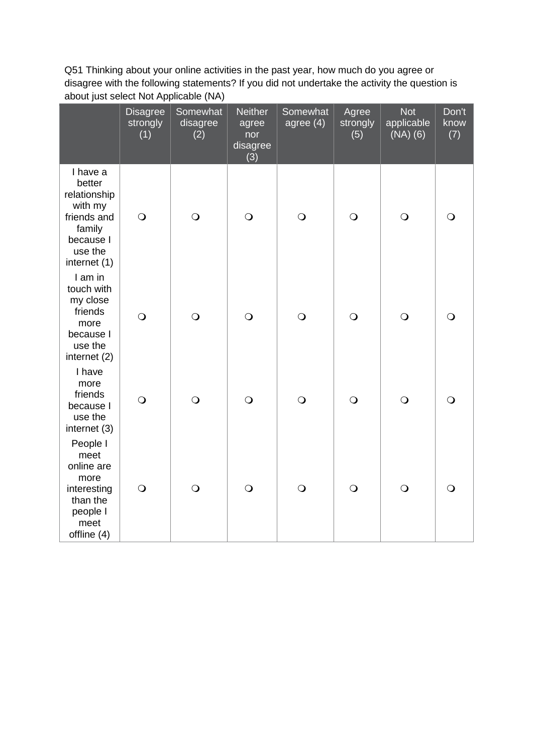Q51 Thinking about your online activities in the past year, how much do you agree or disagree with the following statements? If you did not undertake the activity the question is about just select Not Applicable (NA)

|                                                                                                                | <b>Disagree</b><br>strongly<br>(1) | Somewhat<br>disagree<br>(2) | <b>Neither</b><br>agree<br>nor<br>disagree<br>(3) | Somewhat<br>agree $(4)$ | Agree<br>strongly<br>(5) | <b>Not</b><br>applicable<br>$(NA)$ $(6)$ | Don't<br>know<br>(7) |
|----------------------------------------------------------------------------------------------------------------|------------------------------------|-----------------------------|---------------------------------------------------|-------------------------|--------------------------|------------------------------------------|----------------------|
| I have a<br>better<br>relationship<br>with my<br>friends and<br>family<br>because I<br>use the<br>internet (1) | $\bigcirc$                         | $\bigcirc$                  | $\bigcirc$                                        | $\bigcirc$              | $\bigcirc$               | $\bigcirc$                               | $\bigcirc$           |
| I am in<br>touch with<br>my close<br>friends<br>more<br>because I<br>use the<br>internet (2)                   | $\bigcirc$                         | $\bigcirc$                  | $\bigcirc$                                        | $\bigcirc$              | $\bigcirc$               | $\bigcirc$                               | $\bigcirc$           |
| I have<br>more<br>friends<br>because I<br>use the<br>internet (3)                                              | $\bigcirc$                         | $\bigcirc$                  | $\bigcirc$                                        | $\bigcirc$              | $\bigcirc$               | $\bigcirc$                               | $\bigcirc$           |
| People I<br>meet<br>online are<br>more<br>interesting<br>than the<br>people I<br>meet<br>offline (4)           | $\bigcirc$                         | $\bigcirc$                  | $\bigcirc$                                        | $\bigcirc$              | $\bigcirc$               | $\bigcirc$                               | $\bigcirc$           |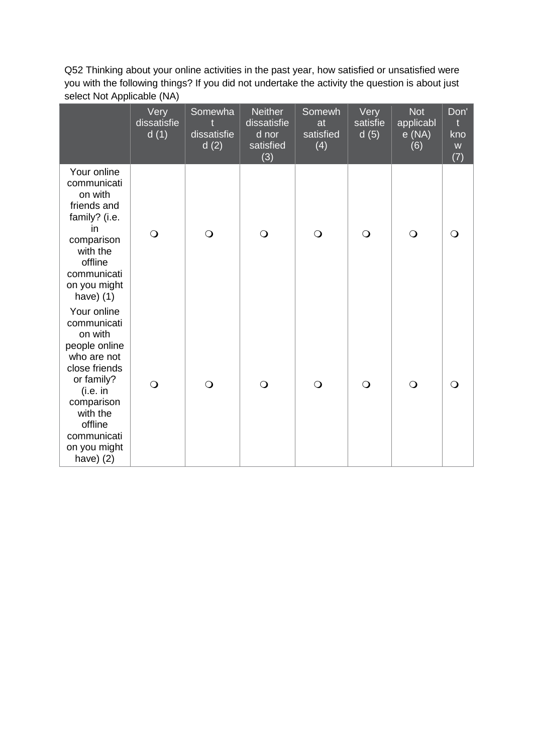Q52 Thinking about your online activities in the past year, how satisfied or unsatisfied were you with the following things? If you did not undertake the activity the question is about just select Not Applicable (NA)

|                                                                                                                                                                                                     | Very<br>dissatisfie<br>d(1) | Somewha<br>dissatisfie<br>d(2) | <b>Neither</b><br>dissatisfie<br>d nor<br>satisfied<br>(3) | Somewh<br>at<br>satisfied<br>(4) | Very<br>satisfie<br>d(5) | <b>Not</b><br>applicabl<br>e(NA)<br>(6) | Don'<br>$\mathsf{t}$<br>kno<br>${\mathsf W}$<br>(7) |
|-----------------------------------------------------------------------------------------------------------------------------------------------------------------------------------------------------|-----------------------------|--------------------------------|------------------------------------------------------------|----------------------------------|--------------------------|-----------------------------------------|-----------------------------------------------------|
| Your online<br>communicati<br>on with<br>friends and<br>family? (i.e.<br>in<br>comparison<br>with the<br>offline<br>communicati<br>on you might<br>have $(1)$                                       | $\bigcirc$                  | $\bigcirc$                     | $\bigcirc$                                                 | $\circ$                          | $\Omega$                 | $\mathsf{O}$                            | Q                                                   |
| Your online<br>communicati<br>on with<br>people online<br>who are not<br>close friends<br>or family?<br>(i.e. in<br>comparison<br>with the<br>offline<br>communicati<br>on you might<br>have) $(2)$ | $\bigcirc$                  | $\bigcirc$                     | $\bigcirc$                                                 | $\bigcirc$                       | $\bigcirc$               | $\bigcirc$                              | ∩                                                   |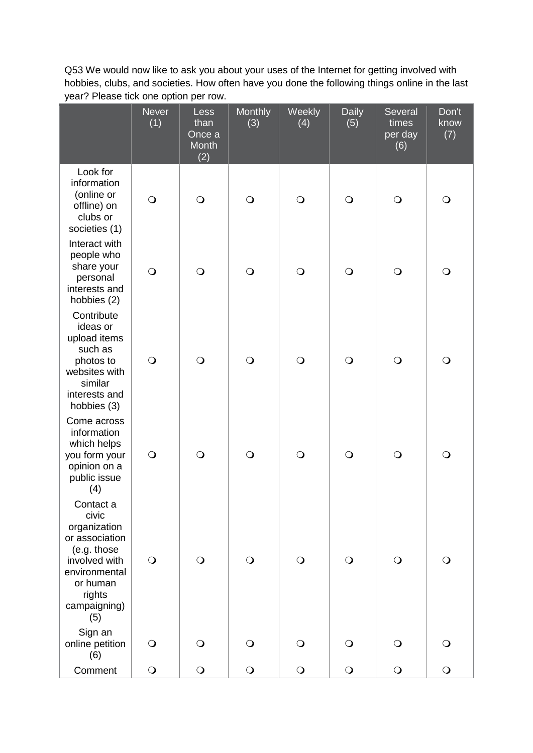Q53 We would now like to ask you about your uses of the Internet for getting involved with hobbies, clubs, and societies. How often have you done the following things online in the last year? Please tick one option per row.

|                                                                                                                                                    | <b>Never</b><br>(1) | Less<br>than<br>Once a<br>Month<br>(2) | Monthly<br>(3) | Weekly<br>(4) | <b>Daily</b><br>(5) | Several<br>times<br>per day<br>(6) | Don't<br>know<br>(7) |
|----------------------------------------------------------------------------------------------------------------------------------------------------|---------------------|----------------------------------------|----------------|---------------|---------------------|------------------------------------|----------------------|
| Look for<br>information<br>(online or<br>offline) on<br>clubs or<br>societies (1)                                                                  | $\bigcirc$          | $\bigcirc$                             | $\bigcirc$     | $\bigcirc$    | $\bigcirc$          | $\bigcirc$                         | $\bigcirc$           |
| Interact with<br>people who<br>share your<br>personal<br>interests and<br>hobbies (2)                                                              | $\bigcirc$          | $\bigcirc$                             | $\bigcirc$     | $\bigcirc$    | $\bigcirc$          | $\bigcirc$                         | $\bigcirc$           |
| Contribute<br>ideas or<br>upload items<br>such as<br>photos to<br>websites with<br>similar<br>interests and<br>hobbies (3)                         | $\bigcirc$          | $\bigcirc$                             | $\bigcirc$     | $\bigcirc$    | $\bigcirc$          | $\bigcirc$                         | $\bigcirc$           |
| Come across<br>information<br>which helps<br>you form your<br>opinion on a<br>public issue<br>(4)                                                  | $\bigcirc$          | $\bigcirc$                             | $\bigcirc$     | $\bigcirc$    | $\bigcirc$          | $\bigcirc$                         | $\bigcirc$           |
| Contact a<br>civic<br>organization<br>or association<br>(e.g. those<br>involved with<br>environmental<br>or human<br>rights<br>campaigning)<br>(5) | $\bigcirc$          | $\bigcirc$                             | $\bigcirc$     | $\bigcirc$    | $\bigcirc$          | $\bigcirc$                         | $\bigcirc$           |
| Sign an<br>online petition<br>(6)                                                                                                                  | $\bigcirc$          | $\bigcirc$                             | $\bigcirc$     | $\bigcirc$    | $\bigcirc$          | $\bigcirc$                         | $\bigcirc$           |
| Comment                                                                                                                                            | $\bigcirc$          | $\bigcirc$                             | $\overline{O}$ | $\bigcirc$    | $\overline{O}$      | $\bigcirc$                         | $\mathsf{O}$         |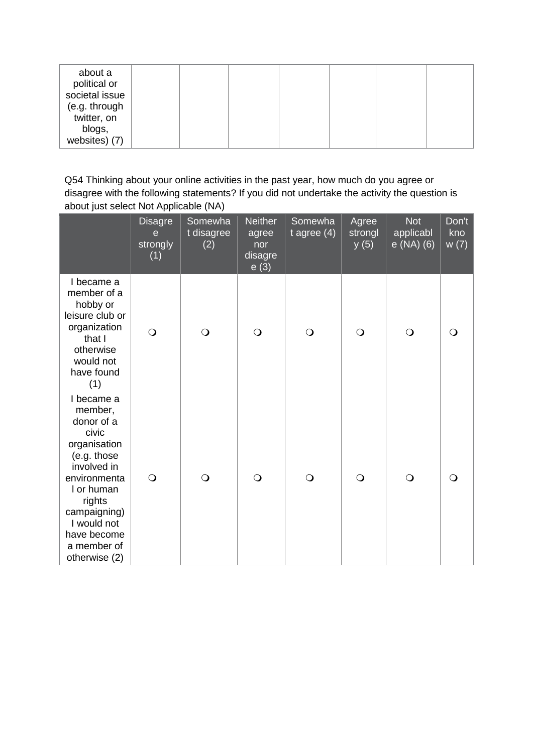| about a<br>political or<br>societal issue<br>(e.g. through<br>twitter, on<br>blogs, |  |  |  |  |
|-------------------------------------------------------------------------------------|--|--|--|--|
| websites) (7)                                                                       |  |  |  |  |

Q54 Thinking about your online activities in the past year, how much do you agree or disagree with the following statements? If you did not undertake the activity the question is about just select Not Applicable (NA)

|                                                                                                                                                                                                                  | <b>Disagre</b><br>$\mathbf{e}$<br>strongly<br>(1) | Somewha<br>t disagree<br>(2) | <b>Neither</b><br>agree<br>nor<br>disagre<br>e(3) | Somewha<br>t agree $(4)$ | Agree<br>strongl<br>y(5) | <b>Not</b><br>applicabl<br>e (NA) (6) | Don't<br>kno<br>W(7) |
|------------------------------------------------------------------------------------------------------------------------------------------------------------------------------------------------------------------|---------------------------------------------------|------------------------------|---------------------------------------------------|--------------------------|--------------------------|---------------------------------------|----------------------|
| I became a<br>member of a<br>hobby or<br>leisure club or<br>organization<br>that I<br>otherwise<br>would not<br>have found<br>(1)                                                                                | $\overline{O}$                                    | $\bigcirc$                   | $\bigcirc$                                        | $\bigcirc$               | $\bigcirc$               | $\circ$                               | $\circ$              |
| I became a<br>member,<br>donor of a<br>civic<br>organisation<br>(e.g. those<br>involved in<br>environmenta<br>I or human<br>rights<br>campaigning)<br>I would not<br>have become<br>a member of<br>otherwise (2) | $\bigcirc$                                        | $\bigcirc$                   | $\bigcirc$                                        | $\bigcirc$               | $\bigcirc$               | $\circ$                               | ∩                    |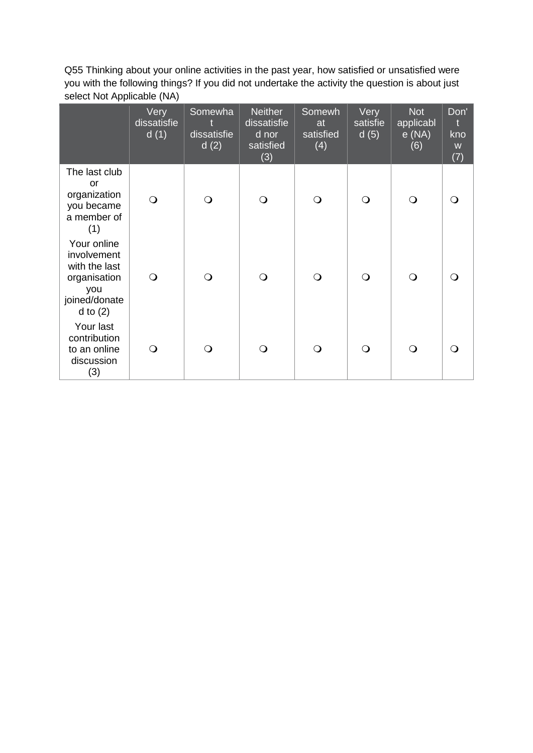Q55 Thinking about your online activities in the past year, how satisfied or unsatisfied were you with the following things? If you did not undertake the activity the question is about just select Not Applicable (NA)

|                                                                                                     | Very<br>dissatisfie<br>d(1) | Somewha<br>dissatisfie<br>d(2) | <b>Neither</b><br>dissatisfie<br>d nor<br>satisfied<br>(3) | Somewh<br>at<br>satisfied<br>(4) | Very<br>satisfie<br>d(5) | <b>Not</b><br>applicabl<br>e(NA)<br>(6) | Don'<br>t<br>kno<br>${\mathsf W}$<br>(7) |
|-----------------------------------------------------------------------------------------------------|-----------------------------|--------------------------------|------------------------------------------------------------|----------------------------------|--------------------------|-----------------------------------------|------------------------------------------|
| The last club<br>or<br>organization<br>you became<br>a member of<br>(1)                             | $\bigcirc$                  | $\Omega$                       | $\Omega$                                                   | $\bigcirc$                       | $\Omega$                 | $\mathsf{O}$                            | ∩                                        |
| Your online<br>involvement<br>with the last<br>organisation<br>you<br>joined/donate<br>$d$ to $(2)$ | $\bigcirc$                  | $\Omega$                       | ∩                                                          | $\bigcirc$                       | $\Omega$                 | $\Omega$                                |                                          |
| Your last<br>contribution<br>to an online<br>discussion<br>(3)                                      | $\Omega$                    | ∩                              | ∩                                                          | $\bigcirc$                       | $\Omega$                 | $\Omega$                                |                                          |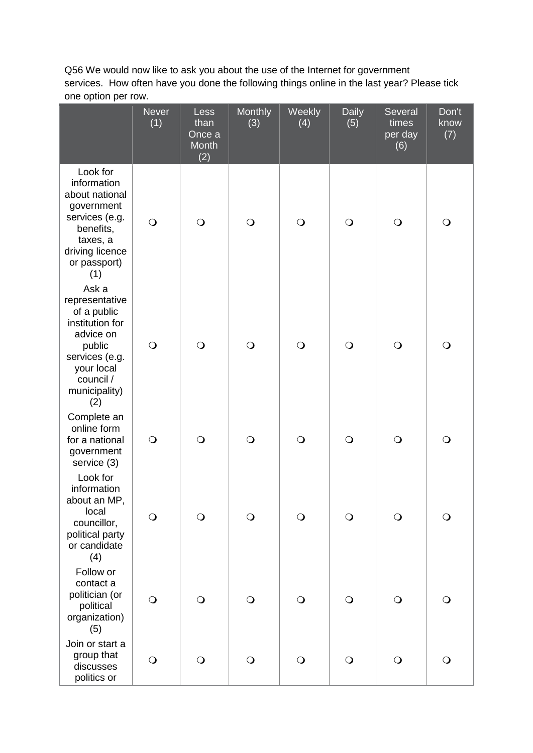Q56 We would now like to ask you about the use of the Internet for government services. How often have you done the following things online in the last year? Please tick one option per row.

|                                                                                                                                                       | <b>Never</b><br>(1) | Less<br>than<br>Once a<br>Month<br>(2) | Monthly<br>(3) | Weekly<br>(4) | <b>Daily</b><br>(5) | Several<br>times<br>per day<br>(6) | Don't<br>know<br>(7) |
|-------------------------------------------------------------------------------------------------------------------------------------------------------|---------------------|----------------------------------------|----------------|---------------|---------------------|------------------------------------|----------------------|
| Look for<br>information<br>about national<br>government<br>services (e.g.<br>benefits,<br>taxes, a<br>driving licence<br>or passport)<br>(1)          | $\bigcirc$          | $\bigcirc$                             | $\bigcirc$     | $\bigcirc$    | $\bigcirc$          | $\bigcirc$                         | $\bigcirc$           |
| Ask a<br>representative<br>of a public<br>institution for<br>advice on<br>public<br>services (e.g.<br>your local<br>council /<br>municipality)<br>(2) | $\bigcirc$          | $\bigcirc$                             | $\bigcirc$     | $\bigcirc$    | $\bigcirc$          | $\bigcirc$                         | $\mathsf{O}$         |
| Complete an<br>online form<br>for a national<br>government<br>service (3)                                                                             | $\bigcirc$          | $\bigcirc$                             | $\bigcirc$     | $\bigcirc$    | $\bigcirc$          | $\bigcirc$                         | $\bigcirc$           |
| Look for<br>information<br>about an MP,<br>local<br>councillor,<br>political party<br>or candidate<br>(4)                                             | $\bigcirc$          | $\bigcirc$                             | $\bigcirc$     | $\bigcirc$    | $\bigcirc$          | $\bigcirc$                         | $\mathsf{O}$         |
| Follow or<br>contact a<br>politician (or<br>political<br>organization)<br>(5)                                                                         | $\bigcirc$          | $\bigcirc$                             | $\bigcirc$     | $\bigcirc$    | $\bigcirc$          | $\bigcirc$                         | $\circ$              |
| Join or start a<br>group that<br>discusses<br>politics or                                                                                             | $\bigcirc$          | $\bigcirc$                             | $\bigcirc$     | $\bigcirc$    | $\bigcirc$          | $\bigcirc$                         | $\Omega$             |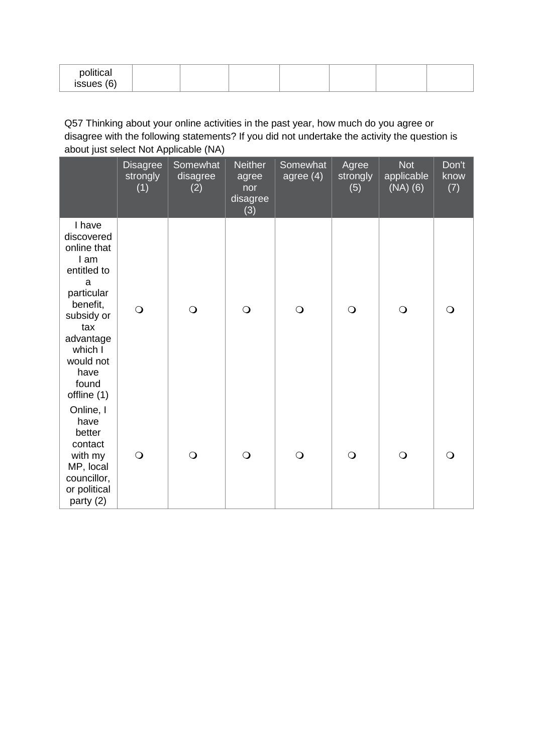| political  |  |  |  |  |
|------------|--|--|--|--|
| issues (6) |  |  |  |  |

Q57 Thinking about your online activities in the past year, how much do you agree or disagree with the following statements? If you did not undertake the activity the question is about just select Not Applicable (NA)

|                                                                                                                                                                                     | <b>Disagree</b><br>strongly<br>(1) | Somewhat<br>disagree<br>(2) | Neither<br>agree<br>nor<br>disagree<br>(3) | Somewhat<br>agree $(4)$ | Agree<br>strongly<br>(5) | Not<br>applicable<br>$(NA)$ $(6)$ | Don't<br>know<br>(7) |
|-------------------------------------------------------------------------------------------------------------------------------------------------------------------------------------|------------------------------------|-----------------------------|--------------------------------------------|-------------------------|--------------------------|-----------------------------------|----------------------|
| I have<br>discovered<br>online that<br>I am<br>entitled to<br>a<br>particular<br>benefit,<br>subsidy or<br>tax<br>advantage<br>which I<br>would not<br>have<br>found<br>offline (1) | $\bigcirc$                         | $\bigcirc$                  | $\bigcirc$                                 | $\bigcirc$              | $\bigcirc$               | $\bigcirc$                        | $\bigcirc$           |
| Online, I<br>have<br>better<br>contact<br>with my<br>MP, local<br>councillor,<br>or political<br>party (2)                                                                          | $\bigcirc$                         | $\bigcirc$                  | $\bigcirc$                                 | $\bigcirc$              | $\bigcirc$               | $\bigcirc$                        | $\bigcirc$           |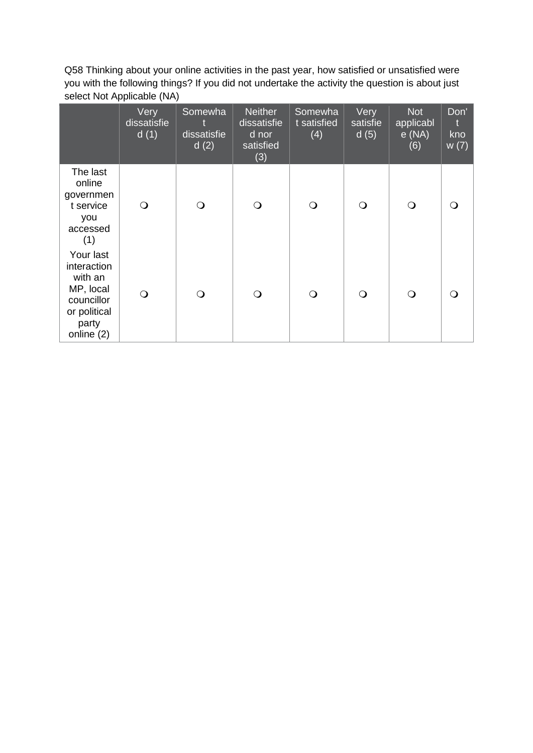Q58 Thinking about your online activities in the past year, how satisfied or unsatisfied were you with the following things? If you did not undertake the activity the question is about just select Not Applicable (NA)

|                                                                                                       | Very<br>dissatisfie<br>d(1) | Somewha<br>dissatisfie<br>d(2) | <b>Neither</b><br>dissatisfie<br>d nor<br>satisfied<br>(3) | Somewha<br>t satisfied<br>(4) | Very<br>satisfie<br>d(5) | <b>Not</b><br>applicabl<br>e(NA)<br>(6) | Don'<br>$\mathbf{t}$<br>kno<br>W(7) |
|-------------------------------------------------------------------------------------------------------|-----------------------------|--------------------------------|------------------------------------------------------------|-------------------------------|--------------------------|-----------------------------------------|-------------------------------------|
| The last<br>online<br>governmen<br>t service<br>you<br>accessed<br>(1)                                | Q                           | $\bigcirc$                     | $\bigcirc$                                                 | $\mathsf{O}$                  | $\Omega$                 | $\mathsf{O}$                            |                                     |
| Your last<br>interaction<br>with an<br>MP, local<br>councillor<br>or political<br>party<br>online (2) | $\Omega$                    | $\circ$                        | $\bigcirc$                                                 | $\bigcirc$                    | $\Omega$                 | $\Omega$                                | ∩                                   |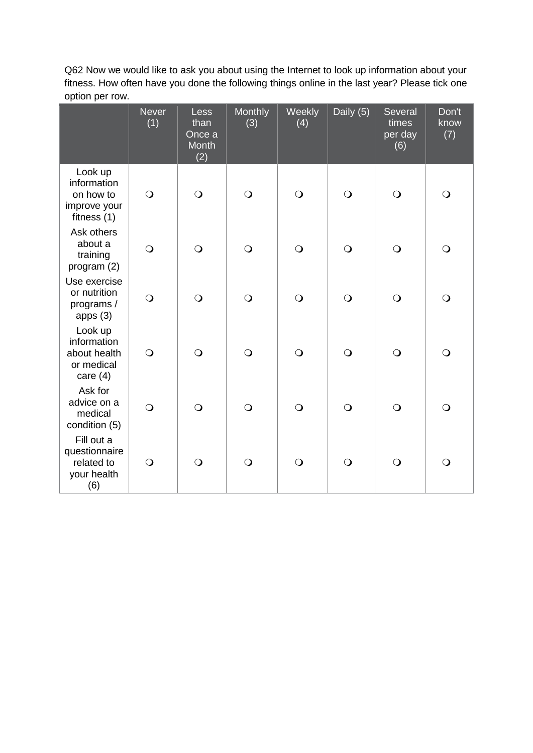Q62 Now we would like to ask you about using the Internet to look up information about your fitness. How often have you done the following things online in the last year? Please tick one option per row.

|                                                                    | <b>Never</b><br>(1) | <b>Less</b><br>than<br>Once a<br><b>Month</b><br>(2) | <b>Monthly</b><br>(3) | Weekly<br>(4)  | Daily (5)  | Several<br>times<br>per day<br>(6) | Don't<br>know<br>(7) |
|--------------------------------------------------------------------|---------------------|------------------------------------------------------|-----------------------|----------------|------------|------------------------------------|----------------------|
| Look up<br>information<br>on how to<br>improve your<br>fitness (1) | $\bigcirc$          | $\bigcirc$                                           | $\bigcirc$            | $\bigcirc$     | $\bigcirc$ | $\bigcirc$                         | $\bigcirc$           |
| Ask others<br>about a<br>training<br>program $(2)$                 | $\bigcirc$          | $\bigcirc$                                           | $\bigcirc$            | $\bigcirc$     | $\bigcirc$ | $\bigcirc$                         | $\bigcirc$           |
| Use exercise<br>or nutrition<br>programs /<br>apps(3)              | $\bigcirc$          | $\bigcirc$                                           | $\bigcirc$            | $\bigcirc$     | $\bigcirc$ | $\bigcirc$                         | $\mathsf{O}$         |
| Look up<br>information<br>about health<br>or medical<br>care $(4)$ | $\bigcirc$          | $\overline{O}$                                       | $\bigcirc$            | $\overline{O}$ | $\bigcirc$ | $\bigcirc$                         | $\bigcirc$           |
| Ask for<br>advice on a<br>medical<br>condition (5)                 | $\bigcirc$          | $\bigcirc$                                           | $\bigcirc$            | $\bigcirc$     | $\bigcirc$ | $\bigcirc$                         | $\bigcirc$           |
| Fill out a<br>questionnaire<br>related to<br>your health<br>(6)    | $\bigcirc$          | $\bigcirc$                                           | $\bigcirc$            | $\bigcirc$     | $\bigcirc$ | $\bigcirc$                         | $\bigcirc$           |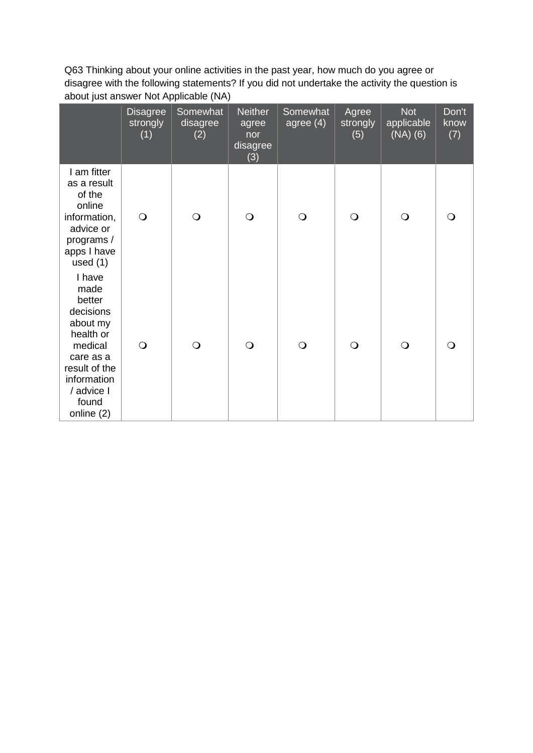Q63 Thinking about your online activities in the past year, how much do you agree or disagree with the following statements? If you did not undertake the activity the question is about just answer Not Applicable (NA)

|                                                                                                                                                             | <b>Disagree</b><br>strongly<br>(1) | Somewhat<br>disagree<br>(2) | <b>Neither</b><br>agree<br>nor<br>disagree<br>(3) | Somewhat<br>agree $(4)$ | Agree<br>strongly<br>(5) | <b>Not</b><br>applicable<br>$(NA)$ $(6)$ | Don't<br>know<br>(7) |
|-------------------------------------------------------------------------------------------------------------------------------------------------------------|------------------------------------|-----------------------------|---------------------------------------------------|-------------------------|--------------------------|------------------------------------------|----------------------|
| I am fitter<br>as a result<br>of the<br>online<br>information,<br>advice or<br>programs /<br>apps I have<br>used $(1)$                                      | $\bigcirc$                         | $\Omega$                    | $\bigcirc$                                        | $\bigcirc$              | $\bigcirc$               | $\bigcirc$                               | $\Omega$             |
| I have<br>made<br>better<br>decisions<br>about my<br>health or<br>medical<br>care as a<br>result of the<br>information<br>/ advice I<br>found<br>online (2) | $\bigcirc$                         | $\Omega$                    | $\bigcirc$                                        | $\bigcirc$              | $\Omega$                 | $\bigcirc$                               | $\Omega$             |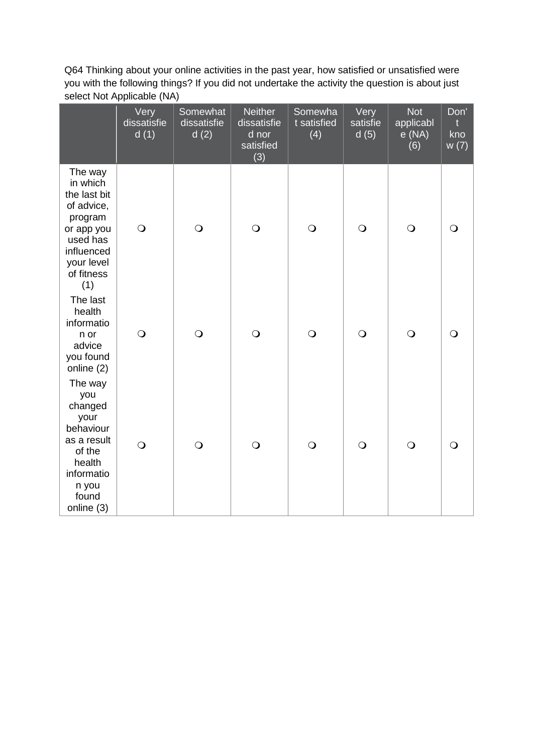Q64 Thinking about your online activities in the past year, how satisfied or unsatisfied were you with the following things? If you did not undertake the activity the question is about just select Not Applicable (NA)

|                                                                                                                                         | Very<br>dissatisfie<br>d(1) | Somewhat<br>dissatisfie<br>d(2) | <b>Neither</b><br>dissatisfie<br>d nor<br>satisfied<br>(3) | Somewha<br>t satisfied<br>(4) | Very<br>satisfie<br>d(5) | <b>Not</b><br>applicabl<br>e(NA)<br>(6) | Don'<br>t<br>kno<br>W(7) |
|-----------------------------------------------------------------------------------------------------------------------------------------|-----------------------------|---------------------------------|------------------------------------------------------------|-------------------------------|--------------------------|-----------------------------------------|--------------------------|
| The way<br>in which<br>the last bit<br>of advice,<br>program<br>or app you<br>used has<br>influenced<br>your level<br>of fitness<br>(1) | $\bigcirc$                  | $\bigcirc$                      | $\bigcirc$                                                 | $\bigcirc$                    | $\bigcirc$               | $\bigcirc$                              | $\bigcirc$               |
| The last<br>health<br>informatio<br>n or<br>advice<br>you found<br>online (2)                                                           | $\bigcirc$                  | $\bigcirc$                      | $\bigcirc$                                                 | $\bigcirc$                    | $\bigcirc$               | $\bigcirc$                              | ∩                        |
| The way<br>you<br>changed<br>your<br>behaviour<br>as a result<br>of the<br>health<br>informatio<br>n you<br>found<br>online (3)         | $\bigcirc$                  | $\bigcirc$                      | $\bigcirc$                                                 | $\bigcirc$                    | $\bigcirc$               | $\bigcirc$                              | $\circ$                  |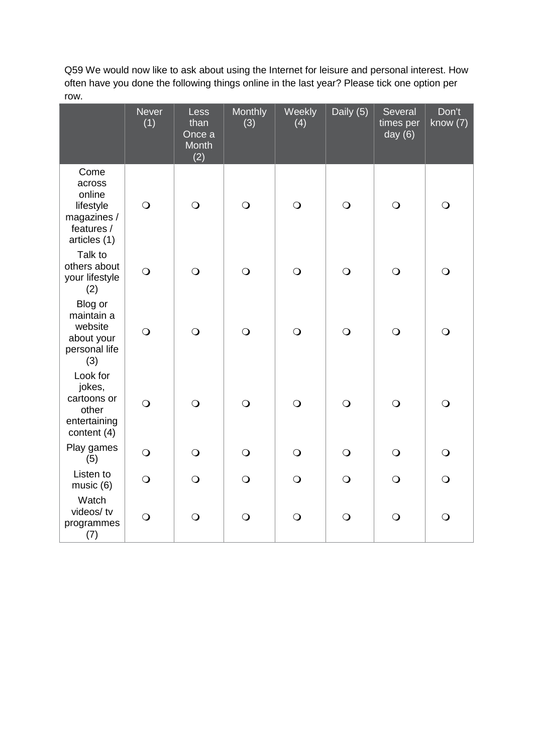Q59 We would now like to ask about using the Internet for leisure and personal interest. How often have you done the following things online in the last year? Please tick one option per row.

|                                                                                    | <b>Never</b><br>(1) | Less<br>than<br>Once a<br><b>Month</b><br>(2) | Monthly<br>(3) | Weekly<br>(4) | Daily $(5)$ | Several<br>times per<br>day $(6)$ | Don't<br>know (7) |
|------------------------------------------------------------------------------------|---------------------|-----------------------------------------------|----------------|---------------|-------------|-----------------------------------|-------------------|
| Come<br>across<br>online<br>lifestyle<br>magazines /<br>features /<br>articles (1) | $\bigcirc$          | $\bigcirc$                                    | $\bigcirc$     | $\bigcirc$    | $\bigcirc$  | $\bigcirc$                        | $\bigcirc$        |
| Talk to<br>others about<br>your lifestyle<br>(2)                                   | $\bigcirc$          | $\bigcirc$                                    | $\bigcirc$     | $\bigcirc$    | $\bigcirc$  | $\bigcirc$                        | $\bigcirc$        |
| Blog or<br>maintain a<br>website<br>about your<br>personal life<br>(3)             | $\bigcirc$          | $\bigcirc$                                    | $\bigcirc$     | $\bigcirc$    | $\bigcirc$  | $\bigcirc$                        | $\bigcirc$        |
| Look for<br>jokes,<br>cartoons or<br>other<br>entertaining<br>content (4)          | $\overline{O}$      | $\bigcirc$                                    | $\bigcirc$     | $\bigcirc$    | $\bigcirc$  | $\bigcirc$                        | $\bigcirc$        |
| Play games<br>(5)                                                                  | $\bigcirc$          | $\bigcirc$                                    | $\bigcirc$     | $\bigcirc$    | $\bigcirc$  | $\bigcirc$                        | $\bigcirc$        |
| Listen to<br>music (6)                                                             | $\bigcirc$          | $\bigcirc$                                    | $\bigcirc$     | $\bigcirc$    | $\bigcirc$  | $\bigcirc$                        | $\bigcirc$        |
| Watch<br>videos/tv<br>programmes<br>(7)                                            | $\bigcirc$          | $\bigcirc$                                    | $\bigcirc$     | $\bigcirc$    | $\bigcirc$  | $\bigcirc$                        | $\bigcirc$        |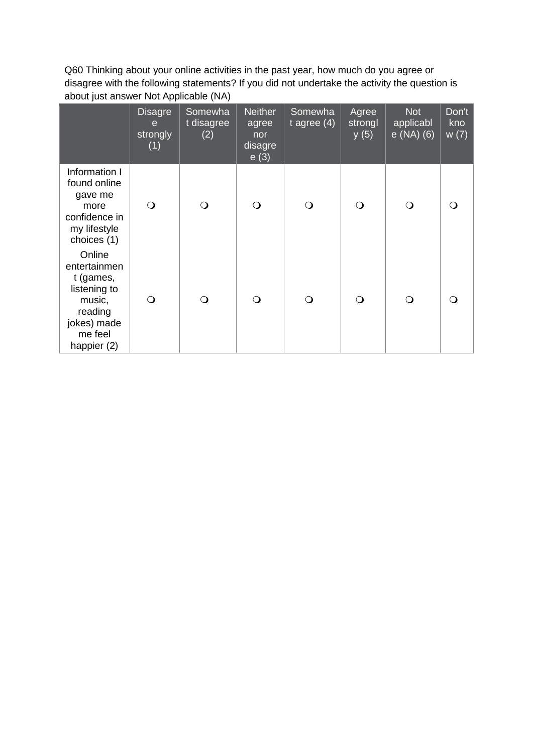Q60 Thinking about your online activities in the past year, how much do you agree or disagree with the following statements? If you did not undertake the activity the question is about just answer Not Applicable (NA)

|                                                                                                                   | <b>Disagre</b><br>e<br>strongly<br>(1) | Somewha<br>t disagree<br>(2) | <b>Neither</b><br>agree<br>nor<br>disagre<br>e(3) | Somewha<br>t agree $(4)$ | Agree<br>strongl<br>y(5) | <b>Not</b><br>applicabl<br><u>e (NA) (6)</u> | Don't<br>kno<br>W(7) |
|-------------------------------------------------------------------------------------------------------------------|----------------------------------------|------------------------------|---------------------------------------------------|--------------------------|--------------------------|----------------------------------------------|----------------------|
| Information I<br>found online<br>gave me<br>more<br>confidence in<br>my lifestyle<br>choices (1)                  | $\mathsf{O}$                           | O                            | Q                                                 | $\Omega$                 | $\Omega$                 | $\Omega$                                     |                      |
| Online<br>entertainmen<br>t (games,<br>listening to<br>music,<br>reading<br>jokes) made<br>me feel<br>happier (2) | $\Omega$                               | O                            | ∩                                                 | ∩                        | $\Omega$                 | ∩                                            |                      |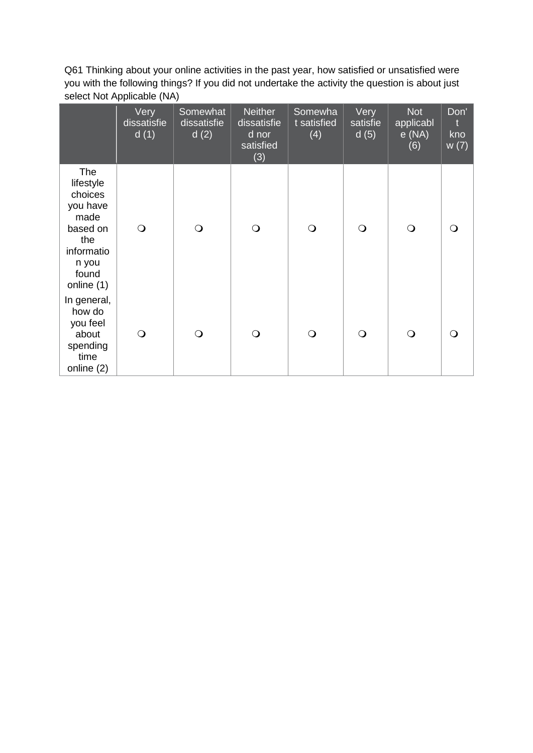Q61 Thinking about your online activities in the past year, how satisfied or unsatisfied were you with the following things? If you did not undertake the activity the question is about just select Not Applicable (NA)

|                                                                                                                  | Very<br>dissatisfie<br>d(1) | Somewhat<br>dissatisfie<br>d(2) | <b>Neither</b><br>dissatisfie<br>d nor<br>satisfied<br>(3) | Somewha<br>t satisfied<br>(4) | Very<br>satisfie<br>d(5) | <b>Not</b><br>applicabl<br>e(NA)<br>(6) | Don'<br>t<br>kno<br>w(7) |
|------------------------------------------------------------------------------------------------------------------|-----------------------------|---------------------------------|------------------------------------------------------------|-------------------------------|--------------------------|-----------------------------------------|--------------------------|
| The<br>lifestyle<br>choices<br>you have<br>made<br>based on<br>the<br>informatio<br>n you<br>found<br>online (1) | $\bigcirc$                  | $\bigcirc$                      | $\bigcirc$                                                 | $\bigcirc$                    | $\bigcirc$               | $\bigcirc$                              | ∩                        |
| In general,<br>how do<br>you feel<br>about<br>spending<br>time<br>online (2)                                     | $\bigcirc$                  | $\Omega$                        | $\bigcirc$                                                 | $\bigcirc$                    | $\bigcirc$               | $\bigcirc$                              |                          |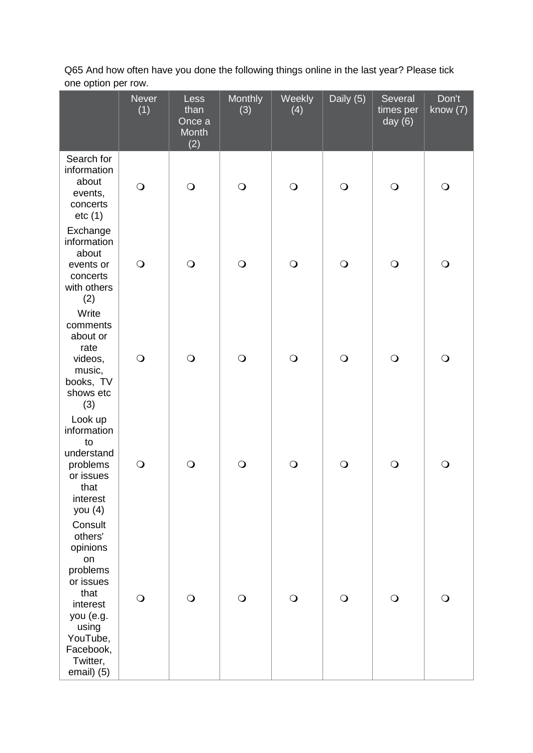Q65 And how often have you done the following things online in the last year? Please tick one option per row.

|                                                                                                                                                            | Never<br>(1) | <b>Less</b><br>than<br>Once a<br>Month<br>(2) | Monthly<br>(3) | Weekly<br>(4) | Daily (5)  | Several<br>times per<br>day $(6)$ | Don't<br>know $(7)$ |
|------------------------------------------------------------------------------------------------------------------------------------------------------------|--------------|-----------------------------------------------|----------------|---------------|------------|-----------------------------------|---------------------|
| Search for<br>information<br>about<br>events,<br>concerts<br>etc(1)                                                                                        | $\bigcirc$   | $\bigcirc$                                    | $\bigcirc$     | $\bigcirc$    | $\bigcirc$ | $\bigcirc$                        | $\bigcirc$          |
| Exchange<br>information<br>about<br>events or<br>concerts<br>with others<br>(2)                                                                            | $\bigcirc$   | $\bigcirc$                                    | $\bigcirc$     | $\bigcirc$    | $\bigcirc$ | $\bigcirc$                        | $\bigcirc$          |
| Write<br>comments<br>about or<br>rate<br>videos,<br>music,<br>books, TV<br>shows etc<br>(3)                                                                | $\bigcirc$   | $\bigcirc$                                    | $\bigcirc$     | $\bigcirc$    | $\bigcirc$ | $\bigcirc$                        | $\bigcirc$          |
| Look up<br>information<br>to<br>understand<br>problems<br>or issues<br>that<br>interest<br>you (4)                                                         | $\bigcirc$   | $\bigcirc$                                    | $\bigcirc$     | $\bigcirc$    | $\bigcirc$ | $\bigcirc$                        | $\bigcirc$          |
| Consult<br>others'<br>opinions<br>on<br>problems<br>or issues<br>that<br>interest<br>you (e.g.<br>using<br>YouTube,<br>Facebook,<br>Twitter,<br>email) (5) | $\bigcirc$   | $\bigcirc$                                    | $\bigcirc$     | $\bigcirc$    | $\bigcirc$ | $\bigcirc$                        | $\bigcirc$          |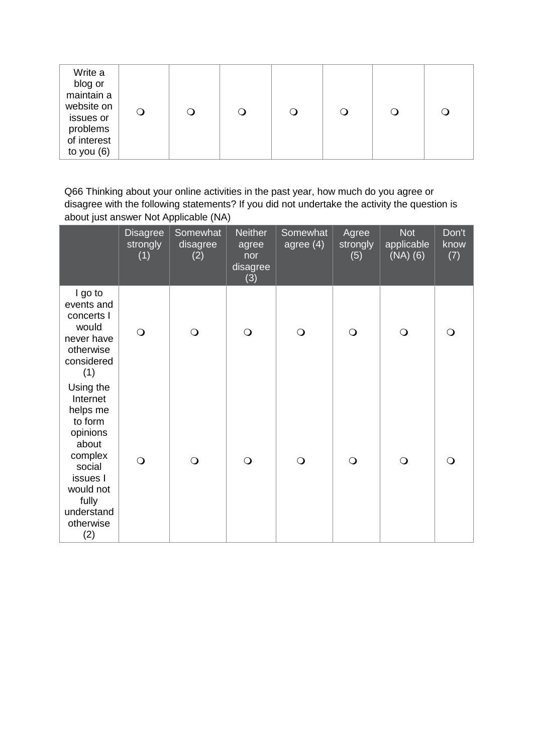| Write a<br>blog or<br>maintain a<br>website on<br>issues or<br>problems<br>of interest<br>to you $(6)$ | $\cup$ |  | $\circ$ |  |  |  |  |
|--------------------------------------------------------------------------------------------------------|--------|--|---------|--|--|--|--|
|--------------------------------------------------------------------------------------------------------|--------|--|---------|--|--|--|--|

Q66 Thinking about your online activities in the past year, how much do you agree or disagree with the following statements? If you did not undertake the activity the question is about just answer Not Applicable (NA)

|                                                                                                                                                            | <b>Disagree</b><br>strongly<br>(1) | Somewhat<br>disagree<br>(2) | <b>Neither</b><br>agree<br>nor<br>disagree<br>(3) | Somewhat<br>agree(4) | Agree<br>strongly<br>(5) | <b>Not</b><br>applicable<br>$(NA)$ $(6)$ | Don't<br>know<br>(7) |
|------------------------------------------------------------------------------------------------------------------------------------------------------------|------------------------------------|-----------------------------|---------------------------------------------------|----------------------|--------------------------|------------------------------------------|----------------------|
| I go to<br>events and<br>concerts I<br>would<br>never have<br>otherwise<br>considered<br>(1)                                                               | $\bigcirc$                         | $\bigcirc$                  | $\bigcirc$                                        | $\bigcirc$           | $\bigcirc$               | $\bigcirc$                               | $\Omega$             |
| Using the<br>Internet<br>helps me<br>to form<br>opinions<br>about<br>complex<br>social<br>issues I<br>would not<br>fully<br>understand<br>otherwise<br>(2) | $\bigcirc$                         | $\bigcirc$                  | $\bigcirc$                                        | $\bigcirc$           | $\bigcirc$               | $\bigcirc$                               | $\Omega$             |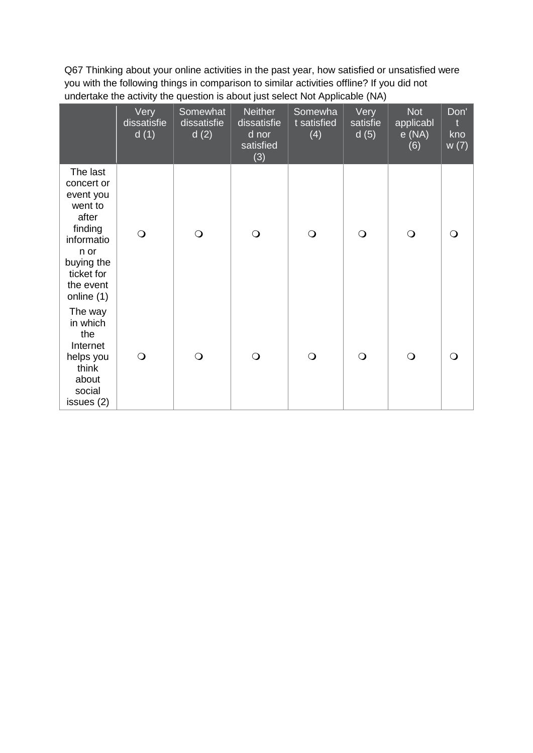Q67 Thinking about your online activities in the past year, how satisfied or unsatisfied were you with the following things in comparison to similar activities offline? If you did not undertake the activity the question is about just select Not Applicable (NA)

|                                                                                                                                                 | Very<br>dissatisfie<br>d(1) | Somewhat<br>dissatisfie<br>d(2) | <b>Neither</b><br>dissatisfie<br>d nor<br>satisfied<br>(3) | Somewha<br>t satisfied<br>(4) | Very<br>satisfie<br>d(5) | <b>Not</b><br>applicabl<br>e(NA)<br>(6) | Don'<br>$\mathbf{f}$<br>kno<br>w(7) |
|-------------------------------------------------------------------------------------------------------------------------------------------------|-----------------------------|---------------------------------|------------------------------------------------------------|-------------------------------|--------------------------|-----------------------------------------|-------------------------------------|
| The last<br>concert or<br>event you<br>went to<br>after<br>finding<br>informatio<br>n or<br>buying the<br>ticket for<br>the event<br>online (1) | $\bigcirc$                  | $\bigcirc$                      | $\bigcirc$                                                 | $\bigcirc$                    | $\Omega$                 | $\bigcirc$                              |                                     |
| The way<br>in which<br>the<br>Internet<br>helps you<br>think<br>about<br>social<br>issues (2)                                                   | $\bigcirc$                  | $\Omega$                        | $\bigcirc$                                                 | $\bigcirc$                    | $\Omega$                 | $\bigcirc$                              | ∩                                   |